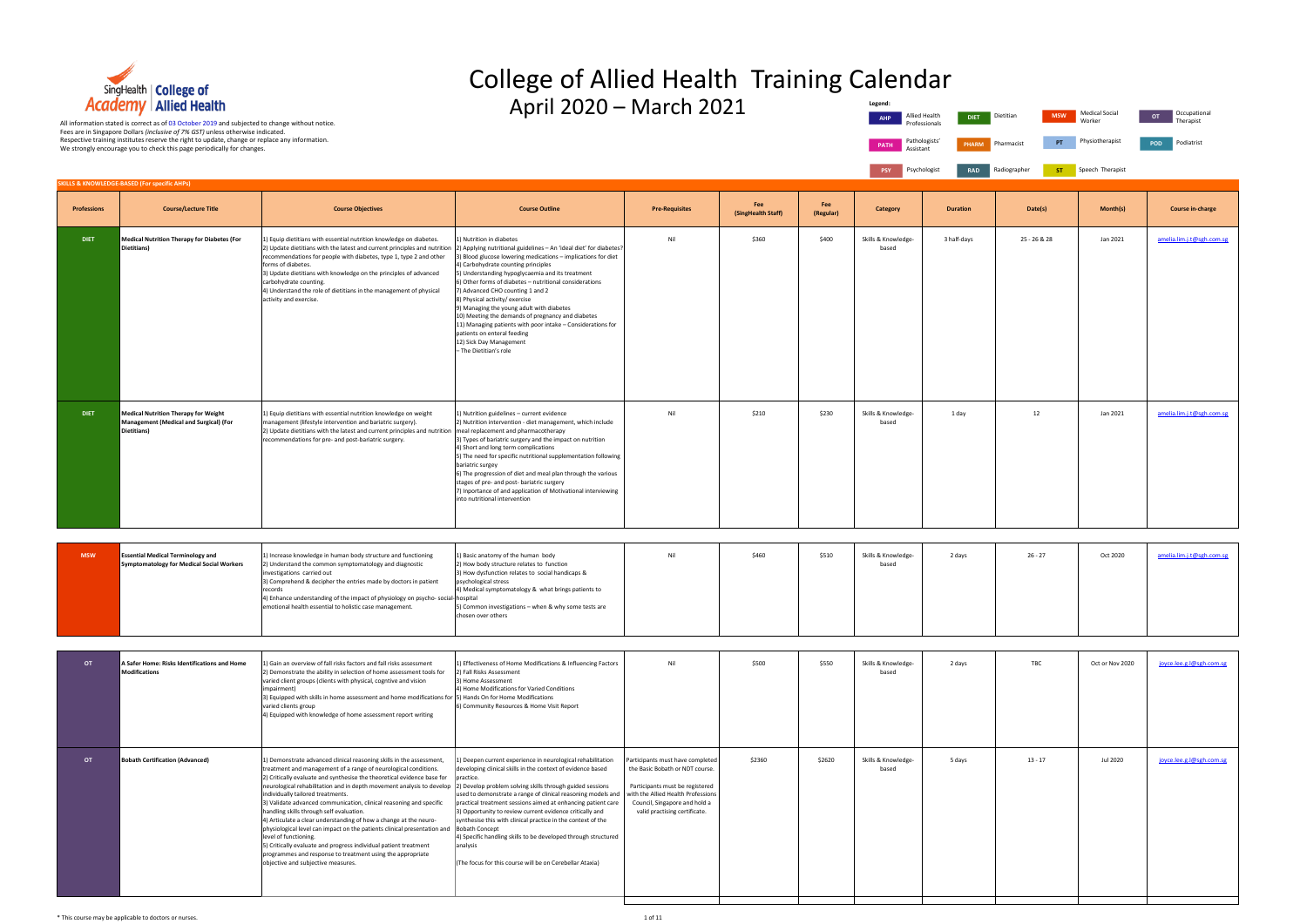|                    | <b>Academy   Allied Health</b>                                                                                                                                                                                                                                                                                                                                 |                                                                                                                                                                                                                                                                                                                                                                                                                                                                                                                                                                                                                                                                                                                                                                                                                                                                                  | April 2020 - March 2021                                                                                                                                                                                                                                                                                                                                                                                                                                                                                                                                                                                                                        |                                                                                                                                                                                                                |                           |                  | Legend:<br>AHP               | Allied Health<br><b>DIET</b>                   | Dietitian<br><b>MSW</b> | <b>Medical Social</b><br>Worker | Occupational<br>OT<br>Therapist |
|--------------------|----------------------------------------------------------------------------------------------------------------------------------------------------------------------------------------------------------------------------------------------------------------------------------------------------------------------------------------------------------------|----------------------------------------------------------------------------------------------------------------------------------------------------------------------------------------------------------------------------------------------------------------------------------------------------------------------------------------------------------------------------------------------------------------------------------------------------------------------------------------------------------------------------------------------------------------------------------------------------------------------------------------------------------------------------------------------------------------------------------------------------------------------------------------------------------------------------------------------------------------------------------|------------------------------------------------------------------------------------------------------------------------------------------------------------------------------------------------------------------------------------------------------------------------------------------------------------------------------------------------------------------------------------------------------------------------------------------------------------------------------------------------------------------------------------------------------------------------------------------------------------------------------------------------|----------------------------------------------------------------------------------------------------------------------------------------------------------------------------------------------------------------|---------------------------|------------------|------------------------------|------------------------------------------------|-------------------------|---------------------------------|---------------------------------|
|                    | All information stated is correct as of 03 October 2019 and subjected to change without notice.<br>Fees are in Singapore Dollars (inclusive of 7% GST) unless otherwise indicated.<br>Respective training institutes reserve the right to update, change or replace any information.<br>We strongly encourage you to check this page periodically for changes. |                                                                                                                                                                                                                                                                                                                                                                                                                                                                                                                                                                                                                                                                                                                                                                                                                                                                                  |                                                                                                                                                                                                                                                                                                                                                                                                                                                                                                                                                                                                                                                |                                                                                                                                                                                                                |                           |                  | <b>PATH</b><br>Assistant     | Professionals<br>Pathologists'<br><b>PHARM</b> | PT<br>Pharmacist        | Physiotherapist                 | POD<br>Podiatrist               |
|                    |                                                                                                                                                                                                                                                                                                                                                                |                                                                                                                                                                                                                                                                                                                                                                                                                                                                                                                                                                                                                                                                                                                                                                                                                                                                                  |                                                                                                                                                                                                                                                                                                                                                                                                                                                                                                                                                                                                                                                |                                                                                                                                                                                                                |                           |                  | PSY                          | Psychologist<br><b>RAD</b>                     | Radiographer            | <b>ST</b> Speech Therapist      |                                 |
|                    | <b>SKILLS &amp; KNOWLEDGE-BASED (For specific AHPs)</b>                                                                                                                                                                                                                                                                                                        |                                                                                                                                                                                                                                                                                                                                                                                                                                                                                                                                                                                                                                                                                                                                                                                                                                                                                  |                                                                                                                                                                                                                                                                                                                                                                                                                                                                                                                                                                                                                                                |                                                                                                                                                                                                                |                           |                  |                              |                                                |                         |                                 |                                 |
| <b>Professions</b> | <b>Course/Lecture Title</b>                                                                                                                                                                                                                                                                                                                                    | <b>Course Objectives</b>                                                                                                                                                                                                                                                                                                                                                                                                                                                                                                                                                                                                                                                                                                                                                                                                                                                         | <b>Course Outline</b>                                                                                                                                                                                                                                                                                                                                                                                                                                                                                                                                                                                                                          | <b>Pre-Requisites</b>                                                                                                                                                                                          | Fee<br>(SingHealth Staff) | Fee<br>(Regular) | <b>Category</b>              | <b>Duration</b>                                | Date(s)                 | Month(s)                        | <b>Course in-charge</b>         |
| <b>DIET</b>        | <b>Medical Nutrition Therapy for Diabetes (For</b><br>Dietitians)                                                                                                                                                                                                                                                                                              | () Equip dietitians with essential nutrition knowledge on diabetes.<br>2) Update dietitians with the latest and current principles and nutrition<br>recommendations for people with diabetes, type 1, type 2 and other<br>forms of diabetes.<br>3) Update dietitians with knowledge on the principles of advanced<br>carbohydrate counting.<br>4) Understand the role of dietitians in the management of physical<br>activity and exercise.                                                                                                                                                                                                                                                                                                                                                                                                                                      | ) Nutrition in diabetes<br>2) Applying nutritional guidelines - An 'ideal diet' for diabetes?<br>3) Blood glucose lowering medications - implications for diet<br>4) Carbohydrate counting principles<br>5) Understanding hypoglycaemia and its treatment<br>5) Other forms of diabetes - nutritional considerations<br>7) Advanced CHO counting 1 and 2<br>8) Physical activity/exercise<br>9) Managing the young adult with diabetes<br>10) Meeting the demands of pregnancy and diabetes<br>11) Managing patients with poor intake - Considerations for<br>patients on enteral feeding<br>12) Sick Day Management<br>- The Dietitian's role | Nil                                                                                                                                                                                                            | \$360                     | \$400            | Skills & Knowledge-<br>based | 3 half-days                                    | 25 - 26 & 28            | Jan 2021                        | amelia.lim.j.t@sgh.com.sg       |
| <b>DIET</b>        | <b>Medical Nutrition Therapy for Weight</b><br>Management (Medical and Surgical) (For<br>Dietitians)                                                                                                                                                                                                                                                           | 1) Equip dietitians with essential nutrition knowledge on weight<br>management (lifestyle intervention and bariatric surgery).<br>2) Update dietitians with the latest and current principles and nutrition Imeal replacement and pharmacotherapy<br>recommendations for pre- and post-bariatric surgery.                                                                                                                                                                                                                                                                                                                                                                                                                                                                                                                                                                        | 1) Nutrition guidelines - current evidence<br>2) Nutrition intervention - diet management, which include<br>3) Types of bariatric surgery and the impact on nutrition<br>4) Short and long term complications<br>5) The need for specific nutritional supplementation following<br>bariatric surgey<br>6) The progression of diet and meal plan through the various<br>stages of pre- and post- bariatric surgery<br>7) Inportance of and application of Motivational interviewing<br>into nutritional intervention                                                                                                                            | Nil                                                                                                                                                                                                            | \$210                     | \$230            | Skills & Knowledge-<br>based | 1 day                                          | 12                      | Jan 2021                        | amelia.lim.j.t@sgh.com.sg       |
|                    |                                                                                                                                                                                                                                                                                                                                                                |                                                                                                                                                                                                                                                                                                                                                                                                                                                                                                                                                                                                                                                                                                                                                                                                                                                                                  |                                                                                                                                                                                                                                                                                                                                                                                                                                                                                                                                                                                                                                                |                                                                                                                                                                                                                |                           |                  |                              |                                                |                         |                                 |                                 |
| <b>MSW</b>         | <b>Essential Medical Terminology and</b><br><b>Symptomatology for Medical Social Workers</b>                                                                                                                                                                                                                                                                   | 1) Increase knowledge in human body structure and functioning<br>2) Understand the common symptomatology and diagnostic<br>nvestigations carried out<br>3) Comprehend & decipher the entries made by doctors in patient<br>4) Enhance understanding of the impact of physiology on psycho-social-hospital<br>emotional health essential to holistic case management.                                                                                                                                                                                                                                                                                                                                                                                                                                                                                                             | 1) Basic anatomy of the human body<br>2) How body structure relates to function<br>3) How dysfunction relates to social handicaps &<br>psychological stress<br>4) Medical symptomatology & what brings patients to<br>5) Common investigations - when & why some tests are<br>chosen over others                                                                                                                                                                                                                                                                                                                                               | Nil                                                                                                                                                                                                            | \$460                     | \$510            | Skills & Knowledge-<br>based | 2 days                                         | $26 - 27$               | Oct 2020                        | amelia.lim.j.t@sgh.com.sg       |
| OT                 | A Safer Home: Risks Identifications and Home<br><b>Modifications</b>                                                                                                                                                                                                                                                                                           | .) Gain an overview of fall risks factors and fall risks assessment<br>2) Demonstrate the ability in selection of home assessment tools for<br>varied client groups (clients with physical, cogntive and vision<br>mpairment)<br>3) Equipped with skills in home assessment and home modifications for [5] Hands On for Home Modifications<br>varied clients group<br>4) Equipped with knowledge of home assessment report writing                                                                                                                                                                                                                                                                                                                                                                                                                                               | 1) Effectiveness of Home Modifications & Influencing Factors<br>2) Fall Risks Assessment<br>3) Home Assessment<br>4) Home Modifications for Varied Conditions<br>6) Community Resources & Home Visit Report                                                                                                                                                                                                                                                                                                                                                                                                                                    | Nil                                                                                                                                                                                                            | \$500                     | \$550            | Skills & Knowledge-<br>based | 2 days                                         | TBC                     | Oct or Nov 2020                 | joyce.lee.g.l@sgh.com.sg        |
| OT                 | <b>Bobath Certification (Advanced)</b>                                                                                                                                                                                                                                                                                                                         | 1) Demonstrate advanced clinical reasoning skills in the assessment,<br>treatment and management of a range of neurological conditions.<br>2) Critically evaluate and synthesise the theoretical evidence base for<br>neurological rehabilitation and in depth movement analysis to develop  2) Develop problem solving skills through guided sessions<br>individually tailored treatments.<br>3) Validate advanced communication, clinical reasoning and specific<br>handling skills through self evaluation.<br>4) Articulate a clear understanding of how a change at the neuro-<br>physiological level can impact on the patients clinical presentation and  Bobath Concept<br>level of functioning.<br>5) Critically evaluate and progress individual patient treatment<br>programmes and response to treatment using the appropriate<br>objective and subjective measures. | 1) Deepen current experience in neurological rehabilitation<br>developing clinical skills in the context of evidence based<br>practice.<br>used to demonstrate a range of clinical reasoning models and<br>practical treatment sessions aimed at enhancing patient care<br>3) Opportunity to review current evidence critically and<br>synthesise this with clinical practice in the context of the<br>4) Specific handling skills to be developed through structured<br>analysis<br>(The focus for this course will be on Cerebellar Ataxia)                                                                                                  | Participants must have completed<br>the Basic Bobath or NDT course.<br>Participants must be registered<br>with the Allied Health Professions<br>Council, Singapore and hold a<br>valid practising certificate. | \$2360                    | \$2620           | Skills & Knowledge-<br>based | 5 days                                         | $13 - 17$               | Jul 2020                        | joyce.lee.g.l@sgh.com.sg        |



### College of Allied Health Training Calendar **Legend:**

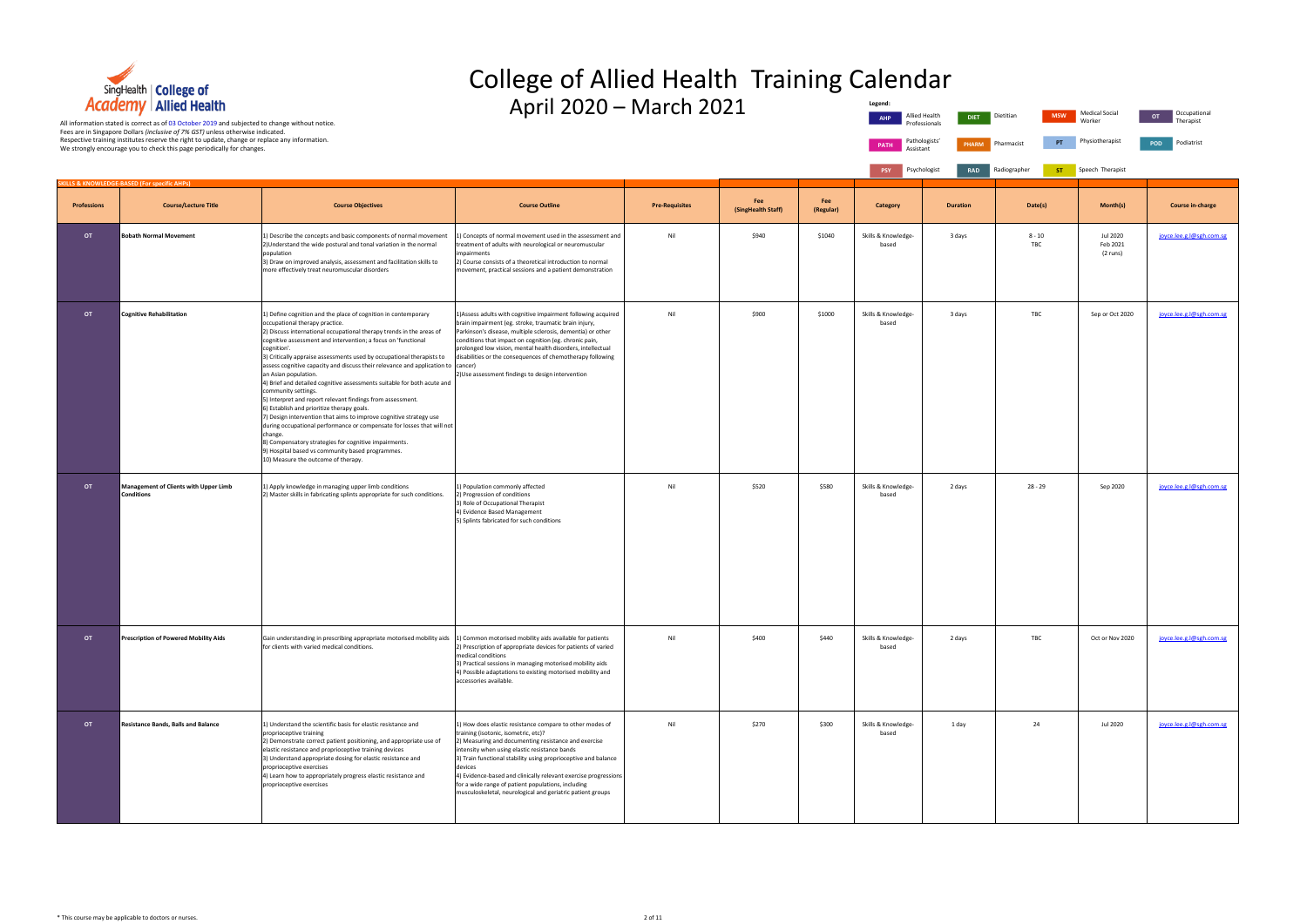

### College of Allied Health Training Calendar **Legend:**

April 2020 – March 2021

| Category    |           |                                | <b>Duration</b> |              | Date(s) |            | Month(s)                        |            | Course in-charg           |
|-------------|-----------|--------------------------------|-----------------|--------------|---------|------------|---------------------------------|------------|---------------------------|
|             |           |                                |                 |              |         |            |                                 |            |                           |
| <b>PSY</b>  |           | Psychologist                   | <b>RAD</b>      | Radiographer |         | <b>ST</b>  | Speech Therapist                |            |                           |
| <b>PATH</b> | Assistant | Pathologists'                  | <b>PHARM</b>    | Pharmacist   |         | PT         | Physiotherapist                 | <b>POD</b> | Podiatrist                |
| <b>AHP</b>  |           | Allied Health<br>Professionals | <b>DIET</b>     | Dietitian    |         | <b>MSW</b> | <b>Medical Social</b><br>Worker | <b>OT</b>  | Occupational<br>Therapist |

|                    | <b>SKILLS &amp; KNOWLEDGE-BASED (For specific AHPs)</b>    |                                                                                                                                                                                                                                                                                                                                                                                                                                                                                                                                                                                                                                                                                                                                                                                                                                                                                                                                                                            |                                                                                                                                                                                                                                                                                                                                                                                                                                                                               |                       |                           |                  |                              |                 |                 |                                  |                          |
|--------------------|------------------------------------------------------------|----------------------------------------------------------------------------------------------------------------------------------------------------------------------------------------------------------------------------------------------------------------------------------------------------------------------------------------------------------------------------------------------------------------------------------------------------------------------------------------------------------------------------------------------------------------------------------------------------------------------------------------------------------------------------------------------------------------------------------------------------------------------------------------------------------------------------------------------------------------------------------------------------------------------------------------------------------------------------|-------------------------------------------------------------------------------------------------------------------------------------------------------------------------------------------------------------------------------------------------------------------------------------------------------------------------------------------------------------------------------------------------------------------------------------------------------------------------------|-----------------------|---------------------------|------------------|------------------------------|-----------------|-----------------|----------------------------------|--------------------------|
| <b>Professions</b> | <b>Course/Lecture Title</b>                                | <b>Course Objectives</b>                                                                                                                                                                                                                                                                                                                                                                                                                                                                                                                                                                                                                                                                                                                                                                                                                                                                                                                                                   | <b>Course Outline</b>                                                                                                                                                                                                                                                                                                                                                                                                                                                         | <b>Pre-Requisites</b> | Fee<br>(SingHealth Staff) | Fee<br>(Regular) | <b>Category</b>              | <b>Duration</b> | Date(s)         | Month(s)                         | <b>Course in-charge</b>  |
| OT                 | <b>Bobath Normal Movement</b>                              | 1) Describe the concepts and basic components of normal movement<br>2) Understand the wide postural and tonal variation in the normal<br>population<br>3) Draw on improved analysis, assessment and facilitation skills to<br>more effectively treat neuromuscular disorders                                                                                                                                                                                                                                                                                                                                                                                                                                                                                                                                                                                                                                                                                               | 1) Concepts of normal movement used in the assessment and<br>treatment of adults with neurological or neuromuscular<br>impairments<br>2) Course consists of a theoretical introduction to normal<br>movement, practical sessions and a patient demonstration                                                                                                                                                                                                                  | Nil                   | \$940                     | \$1040           | Skills & Knowledge-<br>based | 3 days          | $8 - 10$<br>TBC | Jul 2020<br>Feb 2021<br>(2 runs) | joyce.lee.g.l@sgh.com.sg |
| OT                 | <b>Cognitive Rehabilitation</b>                            | 1) Define cognition and the place of cognition in contemporary<br>occupational therapy practice.<br>2) Discuss international occupational therapy trends in the areas of<br>cognitive assessment and intervention; a focus on 'functional<br>cognition'.<br>3) Critically appraise assessments used by occupational therapists to<br>assess cognitive capacity and discuss their relevance and application to cancer)<br>an Asian population.<br>4) Brief and detailed cognitive assessments suitable for both acute and<br>community settings.<br>5) Interpret and report relevant findings from assessment.<br>6) Establish and prioritize therapy goals.<br>7) Design intervention that aims to improve cognitive strategy use<br>during occupational performance or compensate for losses that will not<br>change.<br>8) Compensatory strategies for cognitive impairments.<br>3) Hospital based vs community based programmes.<br>10) Measure the outcome of therapy. | 1) Assess adults with cognitive impairment following acquired<br>brain impairment (eg. stroke, traumatic brain injury,<br>Parkinson's disease, multiple sclerosis, dementia) or other<br>conditions that impact on cognition (eg. chronic pain,<br>prolonged low vision, mental health disorders, intellectual<br>disabilities or the consequences of chemotherapy following<br>2) Use assessment findings to design intervention                                             | Nil                   | \$900                     | \$1000           | Skills & Knowledge-<br>based | 3 days          | TBC             | Sep or Oct 2020                  | joyce.lee.g.l@sgh.com.sg |
| OT                 | Management of Clients with Upper Limb<br><b>Conditions</b> | 1) Apply knowledge in managing upper limb conditions<br>2) Master skills in fabricating splints appropriate for such conditions.                                                                                                                                                                                                                                                                                                                                                                                                                                                                                                                                                                                                                                                                                                                                                                                                                                           | 1) Population commonly affected<br>2) Progression of conditions<br>3) Role of Occupational Therapist<br>4) Evidence Based Management<br>5) Splints fabricated for such conditions                                                                                                                                                                                                                                                                                             | Nil                   | \$520                     | \$580            | Skills & Knowledge-<br>based | 2 days          | $28 - 29$       | Sep 2020                         | joyce.lee.g.l@sgh.com.sg |
| <b>OT</b>          | Prescription of Powered Mobility Aids                      | Gain understanding in prescribing appropriate motorised mobility aids<br>for clients with varied medical conditions.                                                                                                                                                                                                                                                                                                                                                                                                                                                                                                                                                                                                                                                                                                                                                                                                                                                       | 1) Common motorised mobility aids available for patients<br>2) Prescription of appropriate devices for patients of varied<br>medical conditions<br>3) Practical sessions in managing motorised mobility aids<br>4) Possible adaptations to existing motorised mobility and<br>accessories available.                                                                                                                                                                          | Nil                   | \$400                     | \$440            | Skills & Knowledge-<br>based | 2 days          | TBC             | Oct or Nov 2020                  | joyce.lee.g.l@sgh.com.sg |
| OT                 | <b>Resistance Bands, Balls and Balance</b>                 | 1) Understand the scientific basis for elastic resistance and<br>proprioceptive training<br>2) Demonstrate correct patient positioning, and appropriate use of<br>elastic resistance and proprioceptive training devices<br>3) Understand appropriate dosing for elastic resistance and<br>proprioceptive exercises<br>4) Learn how to appropriately progress elastic resistance and<br>proprioceptive exercises                                                                                                                                                                                                                                                                                                                                                                                                                                                                                                                                                           | 1) How does elastic resistance compare to other modes of<br>training (isotonic, isometric, etc)?<br>2) Measuring and documenting resistance and exercise<br>intensity when using elastic resistance bands<br>3) Train functional stability using proprioceptive and balance<br>devices<br>4) Evidence-based and clinically relevant exercise progressions<br>for a wide range of patient populations, including<br>musculoskeletal, neurological and geriatric patient groups | Nil                   | \$270                     | \$300            | Skills & Knowledge-<br>based | 1 day           | 24              | Jul 2020                         | joyce.lee.g.l@sgh.com.sg |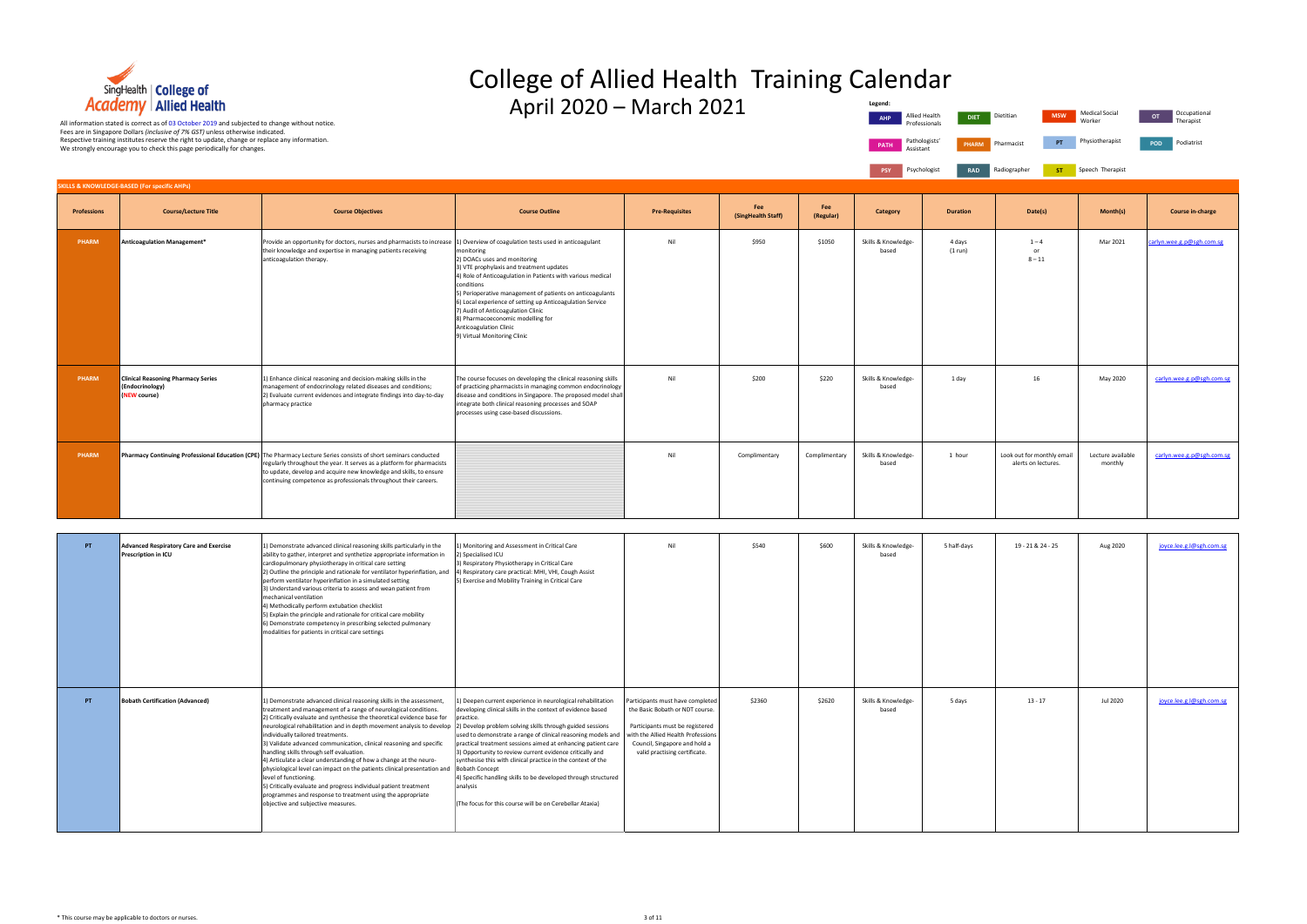

#### College of Allied Health Training Calendar  $\Delta$ pril 2020 – March 2021 **Legend:**



|                  | Legend:<br><b>AHP</b><br><b>PATH</b><br>Assistant<br><b>PSY</b> | Allied Health<br><b>DIET</b><br>Professionals<br>Pathologists'<br><b>PHARM</b><br>Psychologist<br><b>RAD</b> | <b>MSW</b><br>Dietitian<br>PT<br>Pharmacist<br>Radiographer<br><b>ST</b> | <b>Medical Social</b><br>Worker<br>Physiotherapist<br>Speech Therapist | Occupational<br><b>OT</b><br>Therapist<br>Podiatrist<br>POD |
|------------------|-----------------------------------------------------------------|--------------------------------------------------------------------------------------------------------------|--------------------------------------------------------------------------|------------------------------------------------------------------------|-------------------------------------------------------------|
| Fee<br>(Regular) | <b>Category</b>                                                 | <b>Duration</b>                                                                                              | Date(s)                                                                  | Month(s)                                                               | <b>Course in-charge</b>                                     |
| \$1050           | Skills & Knowledge-<br>based                                    | 4 days<br>(1 run)                                                                                            | $1 - 4$<br>or<br>$8 - 11$                                                | Mar 2021                                                               | carlyn.wee.g.p@sgh.com.sg                                   |
| \$220            | Skills & Knowledge-<br>based                                    | 1 day                                                                                                        | 16                                                                       | May 2020                                                               | carlyn.wee.g.p@sgh.com.sg                                   |
| mplimentary      | Skills & Knowledge-<br>based                                    | 1 hour                                                                                                       | Look out for monthly email<br>alerts on lectures.                        | Lecture available<br>monthly                                           | carlyn.wee.g.p@sgh.com.sg                                   |

**PSY** Psychologist **RAD Professions Course/Lecture Title Course Objectives Course Outline Pre-Requisites Fee (SingHealth Staff)** Fee<br>(Regular) **PHARM Anticoagulation Management**<sup>\*</sup> Provide an opportunity for doctors, nurses and pharmacists to increase their knowledge and expertise in managing patients receiving anticoagulation therapy. 1) Overview of coagulation tests used in anticoagulant monitoring 2) DOACs uses and monitoring 3) VTE prophylaxis and treatment updates 4) Role of Anticoagulation in Patients with various medical conditions 5) Perioperative management of patients on anticoagulants 6) Local experience of setting up Anticoagulation Service 7) Audit of Anticoagulation Clinic 8) Pharmacoeconomic modelling for Anticoagulation Clinic 9) Virtual Monitoring Clinic Nil \$950 \$950 \$1050 Skills & Knowledge based 4 days (1 run) **PHARM Clinical Reasoning Pharmacy Series (Endocrinology) (NEW course)** 1) Enhance clinical reasoning and decision-making skills in the anagement of endocrinology related diseases and conditions; 2) Evaluate current evidences and integrate findings into day-to-day pharmacy practice The course focuses on developing the clinical reasoning skills of practicing pharmacists in managing common endocrinolog disease and conditions in Singapore. The proposed model shall integrate both clinical reasoning processes and SOAP processes using case-based discussions. Nil \$200 \$220 Skills & Knowledgebased **PHARM Pharmacy Continuing Professional Education (CPE)** The Pharmacy Lecture Series consists of short seminars conducted regularly throughout the year. It serves as a platform for pharmacists to update, develop and acquire new knowledge and skills, to ensure continuing competence as professionals throughout their careers. Nil Complimentary Complimentary Skills & Knowledgebased 1 hour **SKILLS & KNOWLEDGE-BASED (For specific AHPs)**

| PT | Advanced Respiratory Care and Exercise<br><b>Prescription in ICU</b> | 1) Demonstrate advanced clinical reasoning skills particularly in the<br>ability to gather, interpret and synthetize appropriate information in<br>cardiopulmonary physiotherapy in critical care setting<br>2) Outline the principle and rationale for ventilator hyperinflation, and<br>perform ventilator hyperinflation in a simulated setting<br>3) Understand various criteria to assess and wean patient from<br>mechanical ventilation<br>4) Methodically perform extubation checklist<br>5) Explain the principle and rationale for critical care mobility<br>6) Demonstrate competency in prescribing selected pulmonary<br>modalities for patients in critical care settings                                                                                                                                                                            | .) Monitoring and Assessment in Critical Care<br>2) Specialised ICU<br>3) Respiratory Physiotherapy in Critical Care<br>4) Respiratory care practical: MHI, VHI, Cough Assist<br>5) Exercise and Mobility Training in Critical Care                                                                                                                                                                                                                                                                                                                             | Nil                                                                                                                                                                                                            | \$540  | \$600  | Skills & Knowledge-<br>based | 5 half-days | 19 - 21 & 24 - 25 | Aug 2020 | joyce.lee.g.l@sgh.com.sg |
|----|----------------------------------------------------------------------|--------------------------------------------------------------------------------------------------------------------------------------------------------------------------------------------------------------------------------------------------------------------------------------------------------------------------------------------------------------------------------------------------------------------------------------------------------------------------------------------------------------------------------------------------------------------------------------------------------------------------------------------------------------------------------------------------------------------------------------------------------------------------------------------------------------------------------------------------------------------|-----------------------------------------------------------------------------------------------------------------------------------------------------------------------------------------------------------------------------------------------------------------------------------------------------------------------------------------------------------------------------------------------------------------------------------------------------------------------------------------------------------------------------------------------------------------|----------------------------------------------------------------------------------------------------------------------------------------------------------------------------------------------------------------|--------|--------|------------------------------|-------------|-------------------|----------|--------------------------|
| PT | <b>Bobath Certification (Advanced)</b>                               | 1) Demonstrate advanced clinical reasoning skills in the assessment,<br>treatment and management of a range of neurological conditions.<br>2) Critically evaluate and synthesise the theoretical evidence base for<br>neurological rehabilitation and in depth movement analysis to develop $ 2 $ Develop problem solving skills through guided sessions<br>individually tailored treatments.<br>3) Validate advanced communication, clinical reasoning and specific<br>handling skills through self evaluation.<br>4) Articulate a clear understanding of how a change at the neuro-<br>physiological level can impact on the patients clinical presentation and<br>level of functioning.<br>5) Critically evaluate and progress individual patient treatment<br>programmes and response to treatment using the appropriate<br>objective and subjective measures. | L) Deepen current experience in neurological rehabilitation<br>developing clinical skills in the context of evidence based<br>practice.<br>used to demonstrate a range of clinical reasoning models and<br>practical treatment sessions aimed at enhancing patient care<br>3) Opportunity to review current evidence critically and<br>synthesise this with clinical practice in the context of the<br>Bobath Concept<br>4) Specific handling skills to be developed through structured<br>analysis<br>(The focus for this course will be on Cerebellar Ataxia) | Participants must have completed<br>the Basic Bobath or NDT course.<br>Participants must be registered<br>with the Allied Health Professions<br>Council, Singapore and hold a<br>valid practising certificate. | \$2360 | \$2620 | Skills & Knowledge-<br>based | 5 days      | $13 - 17$         | Jul 2020 | joyce.lee.g.l@sgh.com.sg |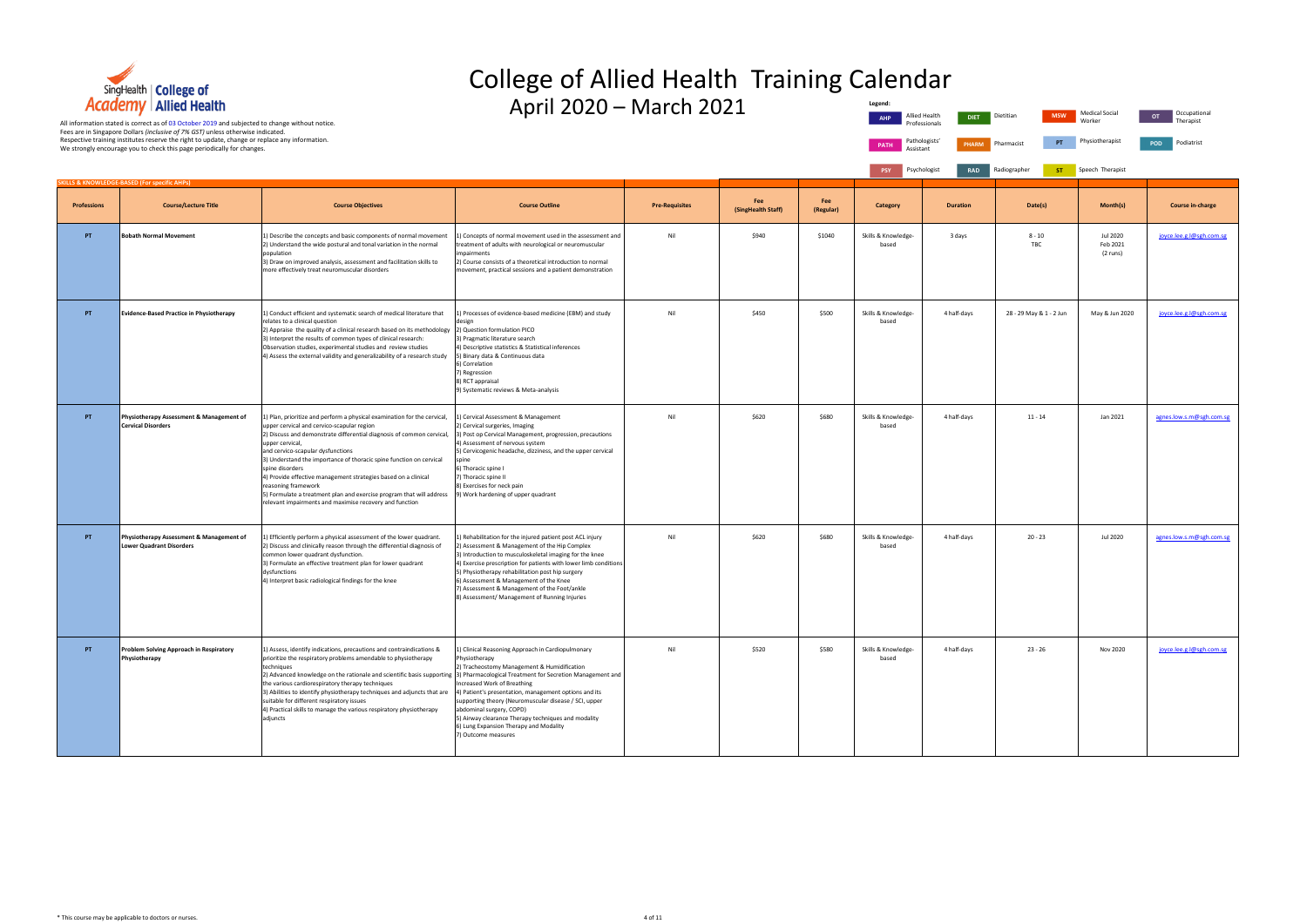

## College of Allied Health Training Calendar

April 2020 – March 2021

Occupational Therapist

POD Podiatrist

| Legend:     |                                |              |              |            |                          |           |
|-------------|--------------------------------|--------------|--------------|------------|--------------------------|-----------|
| <b>AHP</b>  | Allied Health<br>Professionals | <b>DIET</b>  | Dietitian    | <b>MSW</b> | Medical Social<br>Worker | <b>OT</b> |
| <b>PATH</b> | Pathologists'<br>Assistant     | <b>PHARM</b> | Pharmacist   | PT         | Physiotherapist          | POD       |
| <b>PSY</b>  | Psychologist                   | <b>RAD</b>   | Radiographer | <b>ST</b>  | Speech Therapist         |           |

|                    | <b>SKILLS &amp; KNOWLEDGE-BASED (For specific AHPs)</b>                     |                                                                                                                                                                                                                                                                                                                                                                                                                                                                                                                                                                               |                                                                                                                                                                                                                                                                                                                                                                                                                                          |                       |                           |                  |                              |                 |                         |                                  |                          |
|--------------------|-----------------------------------------------------------------------------|-------------------------------------------------------------------------------------------------------------------------------------------------------------------------------------------------------------------------------------------------------------------------------------------------------------------------------------------------------------------------------------------------------------------------------------------------------------------------------------------------------------------------------------------------------------------------------|------------------------------------------------------------------------------------------------------------------------------------------------------------------------------------------------------------------------------------------------------------------------------------------------------------------------------------------------------------------------------------------------------------------------------------------|-----------------------|---------------------------|------------------|------------------------------|-----------------|-------------------------|----------------------------------|--------------------------|
| <b>Professions</b> | <b>Course/Lecture Title</b>                                                 | <b>Course Objectives</b>                                                                                                                                                                                                                                                                                                                                                                                                                                                                                                                                                      | <b>Course Outline</b>                                                                                                                                                                                                                                                                                                                                                                                                                    | <b>Pre-Requisites</b> | Fee<br>(SingHealth Staff) | Fee<br>(Regular) | <b>Category</b>              | <b>Duration</b> | Date(s)                 | Month(s)                         | <b>Course in-charge</b>  |
| PT                 | <b>Bobath Normal Movement</b>                                               | 1) Describe the concepts and basic components of normal movement<br>2) Understand the wide postural and tonal variation in the normal<br>population<br>3) Draw on improved analysis, assessment and facilitation skills to<br>more effectively treat neuromuscular disorders                                                                                                                                                                                                                                                                                                  | L) Concepts of normal movement used in the assessment and<br>treatment of adults with neurological or neuromuscular<br>mpairments<br>2) Course consists of a theoretical introduction to normal<br>movement, practical sessions and a patient demonstration                                                                                                                                                                              | Nil                   | \$940                     | \$1040           | Skills & Knowledge-<br>based | 3 days          | $8 - 10$<br>TBC         | Jul 2020<br>Feb 2021<br>(2 runs) | joyce.lee.g.l@sgh.com.sg |
| PT                 | <b>Evidence-Based Practice in Physiotherapy</b>                             | 1) Conduct efficient and systematic search of medical literature that<br>relates to a clinical question<br>2) Appraise the quality of a clinical research based on its methodology 2) Question formulation PICO<br>3) Interpret the results of common types of clinical research:<br>Observation studies, experimental studies and review studies<br>4) Assess the external validity and generalizability of a research study                                                                                                                                                 | ) Processes of evidence-based medicine (EBM) and study<br>design<br>3) Pragmatic literature search<br>4) Descriptive statistics & Statistical inferences<br>5) Binary data & Continuous data<br>6) Correlation<br>7) Regression<br>8) RCT appraisal<br>9) Systematic reviews & Meta-analysis                                                                                                                                             | Nil                   | \$450                     | \$500            | Skills & Knowledge-<br>based | 4 half-days     | 28 - 29 May & 1 - 2 Jun | May & Jun 2020                   | joyce.lee.g.l@sgh.com.sg |
| PT                 | Physiotherapy Assessment & Management of<br><b>Cervical Disorders</b>       | 1) Plan, prioritize and perform a physical examination for the cervical,<br>upper cervical and cervico-scapular region<br>2) Discuss and demonstrate differential diagnosis of common cervical,<br>upper cervical,<br>and cervico-scapular dysfunctions<br>3) Understand the importance of thoracic spine function on cervical<br>spine disorders<br>4) Provide effective management strategies based on a clinical<br>reasoning framework<br>5) Formulate a treatment plan and exercise program that will address<br>relevant impairments and maximise recovery and function | 1) Cervical Assessment & Management<br>2) Cervical surgeries, Imaging<br>3) Post op Cervical Management, progression, precautions<br>4) Assessment of nervous system<br>5) Cervicogenic headache, dizziness, and the upper cervical<br>spine<br>6) Thoracic spine I<br>7) Thoracic spine II<br>8) Exercises for neck pain<br>9) Work hardening of upper quadrant                                                                         | Nil                   | \$620                     | \$680            | Skills & Knowledge-<br>based | 4 half-days     | $11 - 14$               | Jan 2021                         | agnes.low.s.m@sgh.com.sg |
| PT                 | Physiotherapy Assessment & Management of<br><b>Lower Quadrant Disorders</b> | 1) Efficiently perform a physical assessment of the lower quadrant.<br>2) Discuss and clinically reason through the differential diagnosis of<br>common lower quadrant dysfunction.<br>3) Formulate an effective treatment plan for lower quadrant<br>dysfunctions<br>4) Interpret basic radiological findings for the knee                                                                                                                                                                                                                                                   | L) Rehabilitation for the injured patient post ACL injury<br>2) Assessment & Management of the Hip Complex<br>3) Introduction to musculoskeletal imaging for the knee<br>4) Exercise prescription for patients with lower limb conditions<br>5) Physiotherapy rehabilitation post hip surgery<br>6) Assessment & Management of the Knee<br>7) Assessment & Management of the Foot/ankle<br>8) Assessment/ Management of Running Injuries | Nil                   | \$620                     | \$680            | Skills & Knowledge-<br>based | 4 half-days     | $20 - 23$               | Jul 2020                         | agnes.low.s.m@sgh.com.sg |
| PT                 | Problem Solving Approach in Respiratory<br>Physiotherapy                    | 1) Assess, identify indications, precautions and contraindications &<br>prioritize the respiratory problems amendable to physiotherapy<br>techniques<br>2) Advanced knowledge on the rationale and scientific basis supporting 3) Pharmacological Treatment for Secretion Management and<br>the various cardiorespiratory therapy techniques<br>3) Abilities to identify physiotherapy techniques and adjuncts that are<br>suitable for different respiratory issues<br>4) Practical skills to manage the various respiratory physiotherapy<br>adjuncts                       | ) Clinical Reasoning Approach in Cardiopulmonary<br>Physiotherapy<br>2) Tracheostomy Management & Humidification<br>Increased Work of Breathing<br>4) Patient's presentation, management options and its<br>supporting theory (Neuromuscular disease / SCI, upper<br>abdominal surgery, COPD)<br>5) Airway clearance Therapy techniques and modality<br>6) Lung Expansion Therapy and Modality<br>) Outcome measures                     | Nil                   | \$520                     | \$580            | Skills & Knowledge-<br>based | 4 half-days     | 23 - 26                 | Nov 2020                         | joyce.lee.g.l@sgh.com.sg |

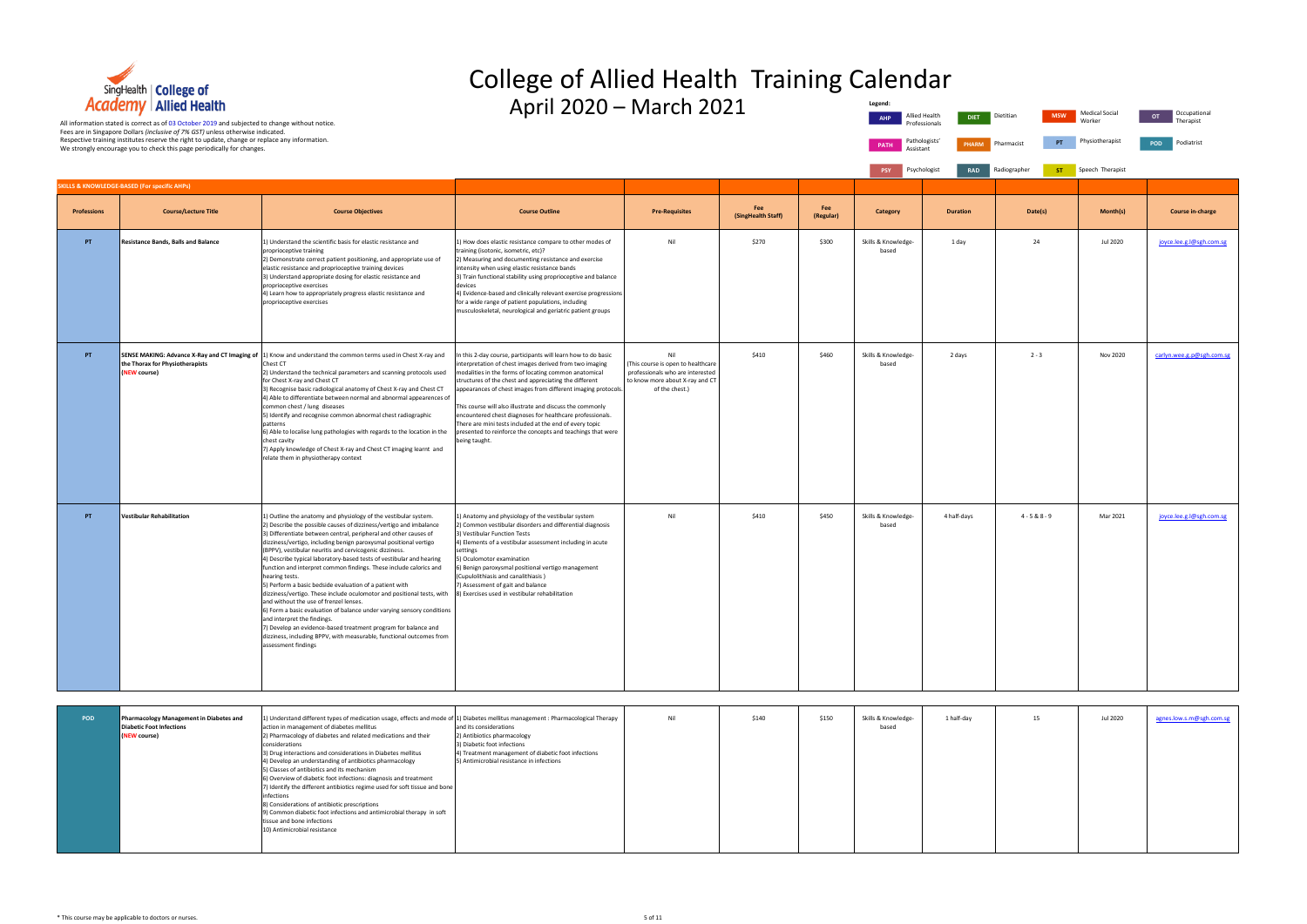

# College of Allied Health Training Calendar

|                  | Legend:<br><b>AHP</b>        | Allied Health<br><b>DIET</b><br>Professionals | Dietitian<br><b>MSW</b>   | <b>Medical Social</b><br>Worker | Occupational<br>OT<br>Therapist |
|------------------|------------------------------|-----------------------------------------------|---------------------------|---------------------------------|---------------------------------|
|                  | PATH<br>Assistant            | Pathologists'<br><b>PHARM</b>                 | PT<br>Pharmacist          | Physiotherapist                 | Podiatrist<br>POD               |
|                  | <b>PSY</b>                   | Psychologist<br><b>RAD</b>                    | Radiographer<br><b>ST</b> | Speech Therapist                |                                 |
|                  |                              |                                               |                           |                                 |                                 |
| Fee<br>(Regular) | Category                     | <b>Duration</b>                               | Date(s)                   | Month(s)                        | <b>Course in-charge</b>         |
| \$300            | Skills & Knowledge-<br>based | 1 day                                         | 24                        | <b>Jul 2020</b>                 | joyce.lee.g.l@sgh.com.sg        |
| \$460            | Skills & Knowledge-<br>based | 2 days                                        | $2 - 3$                   | <b>Nov 2020</b>                 | carlyn.wee.g.p@sgh.com.sg       |
| \$450            | Skills & Knowledge-<br>based | 4 half-days                                   | $4 - 5 & 8 & 8 - 9$       | Mar 2021                        | joyce.lee.g.l@sgh.com.sg        |

|                    | <b>Academy   Allied Health</b><br>All information stated is correct as of 03 October 2019 and subjected to change without notice.<br>Fees are in Singapore Dollars (inclusive of 7% GST) unless otherwise indicated. |                                                                                                                                                                                                                                                                                                                                                                                                                                                                                                                                                                                                                                                                                                                                                                                                                                                                                                                                                                                                                   | April 2020 - March 2021                                                                                                                                                                                                                                                                                                                                                                                                                                                                                                                                                        |                                                                                                                                   |                           |                  | Legend:<br>Allied Health<br><b>AHP</b>    | <b>DIET</b><br>Professionals | <b>MSW</b><br>Dietitian | <b>Medical Social</b><br>Worker | Occupational<br>OT<br>Therapist |
|--------------------|----------------------------------------------------------------------------------------------------------------------------------------------------------------------------------------------------------------------|-------------------------------------------------------------------------------------------------------------------------------------------------------------------------------------------------------------------------------------------------------------------------------------------------------------------------------------------------------------------------------------------------------------------------------------------------------------------------------------------------------------------------------------------------------------------------------------------------------------------------------------------------------------------------------------------------------------------------------------------------------------------------------------------------------------------------------------------------------------------------------------------------------------------------------------------------------------------------------------------------------------------|--------------------------------------------------------------------------------------------------------------------------------------------------------------------------------------------------------------------------------------------------------------------------------------------------------------------------------------------------------------------------------------------------------------------------------------------------------------------------------------------------------------------------------------------------------------------------------|-----------------------------------------------------------------------------------------------------------------------------------|---------------------------|------------------|-------------------------------------------|------------------------------|-------------------------|---------------------------------|---------------------------------|
|                    | Respective training institutes reserve the right to update, change or replace any information.<br>We strongly encourage you to check this page periodically for changes.                                             |                                                                                                                                                                                                                                                                                                                                                                                                                                                                                                                                                                                                                                                                                                                                                                                                                                                                                                                                                                                                                   |                                                                                                                                                                                                                                                                                                                                                                                                                                                                                                                                                                                |                                                                                                                                   |                           |                  | Pathologists'<br><b>PATH</b><br>Assistant | <b>PHARM</b>                 | PT<br>Pharmacist        | Physiotherapist                 | Podiatrist<br>POD               |
|                    | SKILLS & KNOWLEDGE-BASED (For specific AHPs)                                                                                                                                                                         |                                                                                                                                                                                                                                                                                                                                                                                                                                                                                                                                                                                                                                                                                                                                                                                                                                                                                                                                                                                                                   |                                                                                                                                                                                                                                                                                                                                                                                                                                                                                                                                                                                |                                                                                                                                   |                           |                  | Psychologist<br>PSY                       | <b>RAD</b>                   | Radiographer<br>ST.     | Speech Therapist                |                                 |
| <b>Professions</b> | <b>Course/Lecture Title</b>                                                                                                                                                                                          | <b>Course Objectives</b>                                                                                                                                                                                                                                                                                                                                                                                                                                                                                                                                                                                                                                                                                                                                                                                                                                                                                                                                                                                          | <b>Course Outline</b>                                                                                                                                                                                                                                                                                                                                                                                                                                                                                                                                                          | <b>Pre-Requisites</b>                                                                                                             | Fee<br>(SingHealth Staff) | Fee<br>(Regular) | Category                                  | <b>Duration</b>              | Date(s)                 | Month(s)                        | <b>Course in-charge</b>         |
| PT                 | <b>Resistance Bands, Balls and Balance</b>                                                                                                                                                                           | 1) Understand the scientific basis for elastic resistance and<br>proprioceptive training<br>2) Demonstrate correct patient positioning, and appropriate use of<br>elastic resistance and proprioceptive training devices<br>3) Understand appropriate dosing for elastic resistance and<br>proprioceptive exercises<br>4) Learn how to appropriately progress elastic resistance and<br>proprioceptive exercises                                                                                                                                                                                                                                                                                                                                                                                                                                                                                                                                                                                                  | .) How does elastic resistance compare to other modes of<br>training (isotonic, isometric, etc)?<br>2) Measuring and documenting resistance and exercise<br>intensity when using elastic resistance bands<br>3) Train functional stability using proprioceptive and balance<br>devices<br>4) Evidence-based and clinically relevant exercise progressions<br>for a wide range of patient populations, including<br>musculoskeletal, neurological and geriatric patient groups                                                                                                  | Nil                                                                                                                               | \$270                     | \$300            | Skills & Knowledge-<br>based              | 1 day                        | 24                      | Jul 2020                        | joyce.lee.g.l@sgh.com.sg        |
| PT                 | the Thorax for Physiotherapists<br>(NEW course)                                                                                                                                                                      | SENSE MAKING: Advance X-Ray and CT Imaging of  1) Know and understand the common terms used in Chest X-ray and<br>Chest CT<br>2) Understand the technical parameters and scanning protocols used<br>for Chest X-ray and Chest CT<br>3) Recognise basic radiological anatomy of Chest X-ray and Chest CT<br>4) Able to differentiate between normal and abnormal appearences of<br>common chest / lung diseases<br>5) Identify and recognise common abnormal chest radiographic<br>patterns<br>6) Able to localise lung pathologies with regards to the location in the<br>chest cavity<br>7) Apply knowledge of Chest X-ray and Chest CT imaging learnt and<br>relate them in physiotherapy context                                                                                                                                                                                                                                                                                                               | n this 2-day course, participants will learn how to do basic<br>nterpretation of chest images derived from two imaging<br>modalities in the forms of locating common anatomical<br>structures of the chest and appreciating the different<br>appearances of chest images from different imaging protocols.<br>This course will also illustrate and discuss the commonly<br>encountered chest diagnoses for healthcare professionals.<br>There are mini tests included at the end of every topic<br>presented to reinforce the concepts and teachings that were<br>eing taught. | Nil<br>This course is open to healthcare<br>professionals who are interested<br>to know more about X-ray and CT<br>of the chest.) | \$410                     | \$460            | Skills & Knowledge-<br>based              | 2 days                       | $2 - 3$                 | Nov 2020                        | carlyn.wee.g.p@sgh.com.sg       |
| PT                 | Vestibular Rehabilitation                                                                                                                                                                                            | 1) Outline the anatomy and physiology of the vestibular system.<br>2) Describe the possible causes of dizziness/vertigo and imbalance<br>3) Differentiate between central, peripheral and other causes of<br>dizziness/vertigo, including benign paroxysmal positional vertigo<br>(BPPV), vestibular neuritis and cervicogenic dizziness.<br>4) Describe typical laboratory-based tests of vestibular and hearing<br>function and interpret common findings. These include calorics and<br>hearing tests.<br>5) Perform a basic bedside evaluation of a patient with<br>dizziness/vertigo. These include oculomotor and positional tests, with 8) Exercises used in vestibular rehabilitation<br>and without the use of frenzel lenses.<br>6) Form a basic evaluation of balance under varying sensory conditions<br>and interpret the findings.<br>7) Develop an evidence-based treatment program for balance and<br>dizziness, including BPPV, with measurable, functional outcomes from<br>assessment findings | 1) Anatomy and physiology of the vestibular system<br>!) Common vestibular disorders and differential diagnosis<br>3) Vestibular Function Tests<br>4) Elements of a vestibular assessment including in acute<br>settings<br>) Oculomotor examination<br>) Benign paroxysmal positional vertigo management<br>(Cupulolithiasis and canalithiasis)<br>7) Assessment of gait and balance                                                                                                                                                                                          | Nil                                                                                                                               | \$410                     | \$450            | Skills & Knowledge-<br>based              | 4 half-days                  | $4 - 5 & 8 - 9$         | Mar 2021                        | joyce.lee.g.l@sgh.com.sg        |
|                    |                                                                                                                                                                                                                      |                                                                                                                                                                                                                                                                                                                                                                                                                                                                                                                                                                                                                                                                                                                                                                                                                                                                                                                                                                                                                   |                                                                                                                                                                                                                                                                                                                                                                                                                                                                                                                                                                                |                                                                                                                                   |                           |                  |                                           |                              |                         |                                 |                                 |
| POD                | Pharmacology Management in Diabetes and<br><b>Diabetic Foot Infections</b><br>(NEW course)                                                                                                                           | 1) Understand different types of medication usage, effects and mode of<br>action in management of diabetes mellitus<br>2) Pharmacology of diabetes and related medications and their<br>considerations<br>3) Drug interactions and considerations in Diabetes mellitus<br>4) Develop an understanding of antibiotics pharmacology<br>5) Classes of antibiotics and its mechanism<br>6) Overview of diabetic foot infections: diagnosis and treatment<br>7) Identify the different antibiotics regime used for soft tissue and bone<br>infections<br>8) Considerations of antibiotic prescriptions<br>9) Common diabetic foot infections and antimicrobial therapy in soft<br>tissue and bone infections<br>10) Antimicrobial resistance                                                                                                                                                                                                                                                                           | 1) Diabetes mellitus management : Pharmacological Therapy<br>and its considerations<br>2) Antibiotics pharmacology<br>3) Diabetic foot infections<br>4) Treatment management of diabetic foot infections<br>5) Antimicrobial resistance in infections                                                                                                                                                                                                                                                                                                                          | Nil                                                                                                                               | \$140                     | \$150            | Skills & Knowledge-<br>based              | 1 half-day                   | 15                      | Jul 2020                        | agnes.low.s.m@sgh.com.sg        |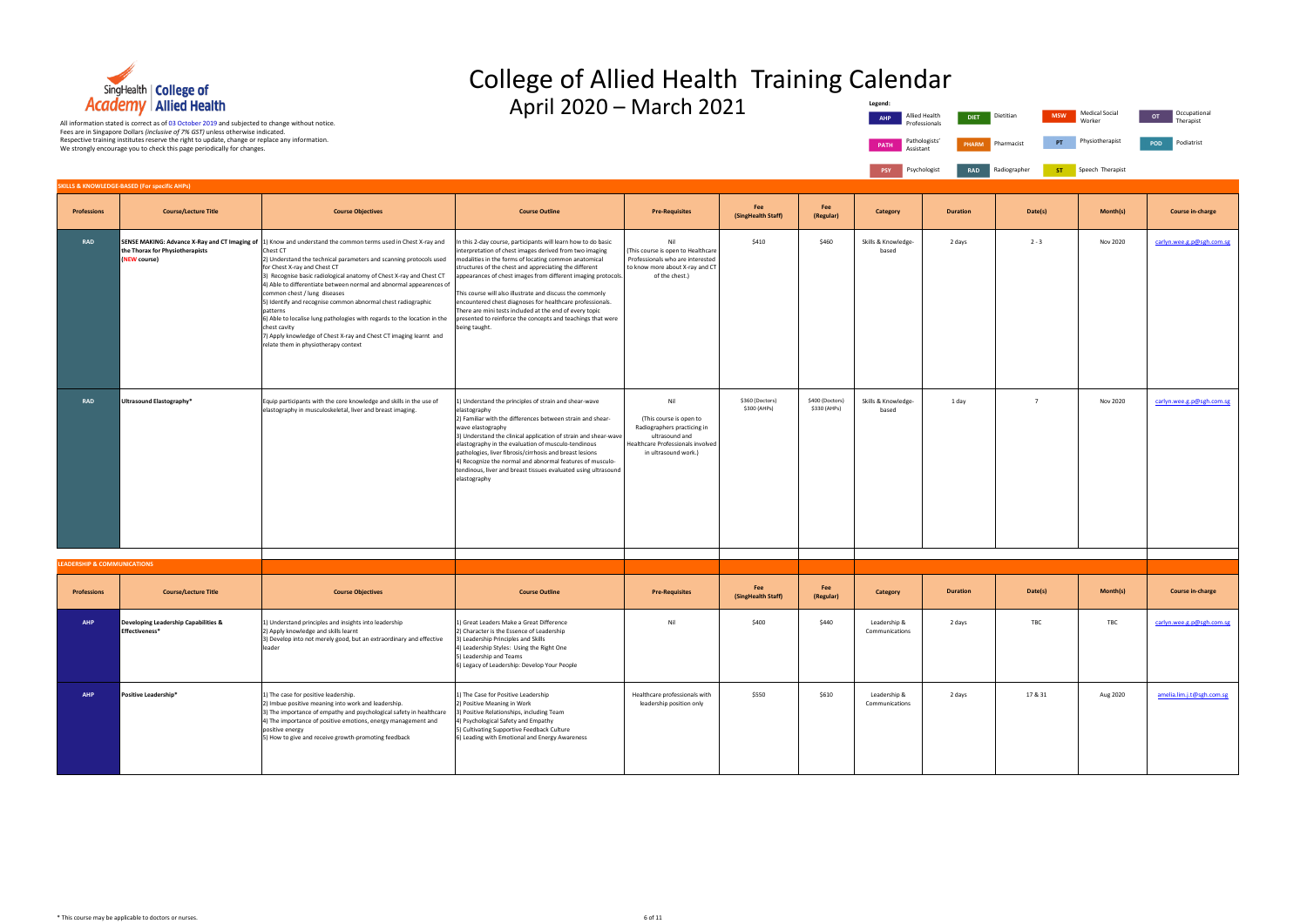

## College of Allied Health Training Calendar **Legend:**

| end:                     |                                               |                         |                                 |                                 |
|--------------------------|-----------------------------------------------|-------------------------|---------------------------------|---------------------------------|
| <b>AHP</b>               | Allied Health<br><b>DIET</b><br>Professionals | Dietitian<br><b>MSW</b> | <b>Medical Social</b><br>Worker | Occupational<br>OT<br>Therapist |
| PATH<br>Assistant        | Pathologists'<br><b>PHARM</b>                 | PT<br>Pharmacist        | Physiotherapist                 | Podiatrist<br>POD               |
| <b>PSY</b>               | Psychologist<br><b>RAD</b>                    | Radiographer<br>ST      | Speech Therapist                |                                 |
|                          |                                               |                         |                                 |                                 |
| ategory                  | <b>Duration</b>                               | Date(s)                 | Month(s)                        | <b>Course in-charge</b>         |
| k Knowledge-<br>based    | 2 days                                        | $2 - 3$                 | Nov 2020                        | carlyn.wee.g.p@sgh.com.sg       |
|                          |                                               |                         |                                 |                                 |
|                          |                                               |                         |                                 |                                 |
|                          |                                               |                         |                                 |                                 |
| k Knowledge-<br>based    | 1 day                                         | 7                       | Nov 2020                        | carlyn.wee.g.p@sgh.com.sg       |
|                          |                                               |                         |                                 |                                 |
|                          |                                               |                         |                                 |                                 |
|                          |                                               |                         |                                 |                                 |
|                          |                                               |                         |                                 |                                 |
|                          |                                               |                         |                                 |                                 |
| ategory                  | <b>Duration</b>                               | Date(s)                 | Month(s)                        | <b>Course in-charge</b>         |
| dership &<br>nunications | 2 days                                        | TBC                     | TBC                             | carlyn.wee.g.p@sgh.com.sg       |
|                          |                                               |                         |                                 |                                 |
| dership &<br>nunications | 2 days                                        | 17 & 31                 | Aug 2020                        | amelia.lim.j.t@sgh.com.sg       |
|                          |                                               |                         |                                 |                                 |

| <b>Academy</b> Allied Health<br>All information stated is correct as of 03 October 2019 and subjected to change without notice.<br>Fees are in Singapore Dollars (inclusive of 7% GST) unless otherwise indicated. |                                                                                                                                                                          |                                                                                                                                                                                                                                                                                                                                                                                                                                                                                                                                                                                                                                                                                                    |                                                                                                                                                                                                                                                                                                                                                                                                                                                                                                                                                                                   | April 2020 - March 2021                                                                                                                      |                                 |                                 | Legend:<br><b>AHP</b>                     | Allied Health<br>DIET.<br>Professional: | <b>MSW</b><br>Dietitian | <b>Medical Social</b><br>Worker | Occupational<br>OT<br>Therapist |
|--------------------------------------------------------------------------------------------------------------------------------------------------------------------------------------------------------------------|--------------------------------------------------------------------------------------------------------------------------------------------------------------------------|----------------------------------------------------------------------------------------------------------------------------------------------------------------------------------------------------------------------------------------------------------------------------------------------------------------------------------------------------------------------------------------------------------------------------------------------------------------------------------------------------------------------------------------------------------------------------------------------------------------------------------------------------------------------------------------------------|-----------------------------------------------------------------------------------------------------------------------------------------------------------------------------------------------------------------------------------------------------------------------------------------------------------------------------------------------------------------------------------------------------------------------------------------------------------------------------------------------------------------------------------------------------------------------------------|----------------------------------------------------------------------------------------------------------------------------------------------|---------------------------------|---------------------------------|-------------------------------------------|-----------------------------------------|-------------------------|---------------------------------|---------------------------------|
|                                                                                                                                                                                                                    | Respective training institutes reserve the right to update, change or replace any information.<br>We strongly encourage you to check this page periodically for changes. |                                                                                                                                                                                                                                                                                                                                                                                                                                                                                                                                                                                                                                                                                                    |                                                                                                                                                                                                                                                                                                                                                                                                                                                                                                                                                                                   |                                                                                                                                              |                                 |                                 | Pathologists'<br><b>PATH</b><br>Assistant | <b>PHARM</b>                            | PT<br>Pharmacist        | Physiotherapist                 | POD<br>Podiatrist               |
|                                                                                                                                                                                                                    | SKILLS & KNOWLEDGE-BASED (For specific AHPs)                                                                                                                             |                                                                                                                                                                                                                                                                                                                                                                                                                                                                                                                                                                                                                                                                                                    |                                                                                                                                                                                                                                                                                                                                                                                                                                                                                                                                                                                   |                                                                                                                                              |                                 |                                 | Psychologist<br><b>PSY</b>                | <b>RAD</b>                              | Radiographer<br>ST.     | Speech Therapist                |                                 |
| <b>Professions</b>                                                                                                                                                                                                 | <b>Course/Lecture Title</b>                                                                                                                                              | <b>Course Objectives</b>                                                                                                                                                                                                                                                                                                                                                                                                                                                                                                                                                                                                                                                                           | <b>Course Outline</b>                                                                                                                                                                                                                                                                                                                                                                                                                                                                                                                                                             | <b>Pre-Requisites</b>                                                                                                                        | Fee<br>(SingHealth Staff)       | Fee<br>(Regular)                | <b>Category</b>                           | <b>Duration</b>                         | Date(s)                 | Month(s)                        | Course in-charge                |
| <b>RAD</b>                                                                                                                                                                                                         | the Thorax for Physiotherapists<br>(NEW course)                                                                                                                          | SENSE MAKING: Advance X-Ray and CT Imaging of 1) Know and understand the common terms used in Chest X-ray and<br>Chest CT<br>2) Understand the technical parameters and scanning protocols used<br>for Chest X-ray and Chest CT<br>3) Recognise basic radiological anatomy of Chest X-ray and Chest CT<br>4) Able to differentiate between normal and abnormal appearences of<br>common chest / lung diseases<br>5) Identify and recognise common abnormal chest radiographic<br>patterns<br>6) Able to localise lung pathologies with regards to the location in the<br>chest cavity<br>7) Apply knowledge of Chest X-ray and Chest CT imaging learnt and<br>relate them in physiotherapy context | In this 2-day course, participants will learn how to do basic<br>interpretation of chest images derived from two imaging<br>modalities in the forms of locating common anatomical<br>structures of the chest and appreciating the different<br>appearances of chest images from different imaging protocols.<br>This course will also illustrate and discuss the commonly<br>encountered chest diagnoses for healthcare professionals.<br>There are mini tests included at the end of every topic<br>presented to reinforce the concepts and teachings that were<br>being taught. | Nil<br>This course is open to Healthcare<br>Professionals who are interested<br>to know more about X-ray and CT<br>of the chest.)            | \$410                           | \$460                           | Skills & Knowledge-<br>based              | 2 days                                  | $2 - 3$                 | Nov 2020                        | carlyn.wee.g.p@sgh.com.sg       |
| <b>RAD</b>                                                                                                                                                                                                         | Ultrasound Elastography*                                                                                                                                                 | Equip participants with the core knowledge and skills in the use of<br>elastography in musculoskeletal, liver and breast imaging.                                                                                                                                                                                                                                                                                                                                                                                                                                                                                                                                                                  | 1) Understand the principles of strain and shear-wave<br>elastography<br>2) Familiar with the differences between strain and shear-<br>wave elastography<br>3) Understand the clinical application of strain and shear-wave<br>elastography in the evaluation of musculo-tendinous<br>pathologies, liver fibrosis/cirrhosis and breast lesions<br>4) Recognize the normal and abnormal features of musculo-<br>tendinous, liver and breast tissues evaluated using ultrasound<br>elastography                                                                                     | Nil<br>(This course is open to<br>Radiographers practicing in<br>ultrasound and<br>Healthcare Professionals involved<br>in ultrasound work.) | \$360 (Doctors)<br>\$300 (AHPs) | \$400 (Doctors)<br>\$330 (AHPs) | Skills & Knowledge-<br>based              | 1 day                                   | $\overline{7}$          | Nov 2020                        | carlyn.wee.g.p@sgh.com.sg       |
| <b>LEADERSHIP &amp; COMMUNICATIONS</b>                                                                                                                                                                             |                                                                                                                                                                          |                                                                                                                                                                                                                                                                                                                                                                                                                                                                                                                                                                                                                                                                                                    |                                                                                                                                                                                                                                                                                                                                                                                                                                                                                                                                                                                   |                                                                                                                                              |                                 |                                 |                                           |                                         |                         |                                 |                                 |
| <b>Professions</b>                                                                                                                                                                                                 | <b>Course/Lecture Title</b>                                                                                                                                              | <b>Course Objectives</b>                                                                                                                                                                                                                                                                                                                                                                                                                                                                                                                                                                                                                                                                           | <b>Course Outline</b>                                                                                                                                                                                                                                                                                                                                                                                                                                                                                                                                                             | <b>Pre-Requisites</b>                                                                                                                        | Fee<br>(SingHealth Staff)       | Fee<br>(Regular)                | Category                                  | <b>Duration</b>                         | Date(s)                 | Month(s)                        | Course in-charge                |
| <b>AHP</b>                                                                                                                                                                                                         | Developing Leadership Capabilities &<br>Effectiveness*                                                                                                                   | 1) Understand principles and insights into leadership<br>2) Apply knowledge and skills learnt<br>3) Develop into not merely good, but an extraordinary and effective<br>leader                                                                                                                                                                                                                                                                                                                                                                                                                                                                                                                     | 1) Great Leaders Make a Great Difference<br>2) Character is the Essence of Leadership<br>3) Leadership Principles and Skills<br>4) Leadership Styles: Using the Right One<br>5) Leadership and Teams<br>6) Legacy of Leadership: Develop Your People                                                                                                                                                                                                                                                                                                                              | Nil                                                                                                                                          | \$400                           | \$440                           | Leadership &<br>Communications            | 2 days                                  | TBC                     | TBC                             | carlyn.wee.g.p@sgh.com.sg       |
| <b>AHP</b>                                                                                                                                                                                                         | Positive Leadership*                                                                                                                                                     | 1) The case for positive leadership.<br>2) Imbue positive meaning into work and leadership.<br>3) The importance of empathy and psychological safety in healthcare<br>4) The importance of positive emotions, energy management and<br>positive energy<br>5) How to give and receive growth-promoting feedback                                                                                                                                                                                                                                                                                                                                                                                     | 1) The Case for Positive Leadership<br>2) Positive Meaning in Work<br>3) Positive Relationships, including Team<br>4) Psychological Safety and Empathy<br>5) Cultivating Supportive Feedback Culture<br>6) Leading with Emotional and Energy Awareness                                                                                                                                                                                                                                                                                                                            | Healthcare professionals with<br>leadership position only                                                                                    | \$550                           | \$610                           | Leadership &<br>Communications            | 2 days                                  | 17 & 31                 | Aug 2020                        | amelia.lim.j.t@sgh.com.sg       |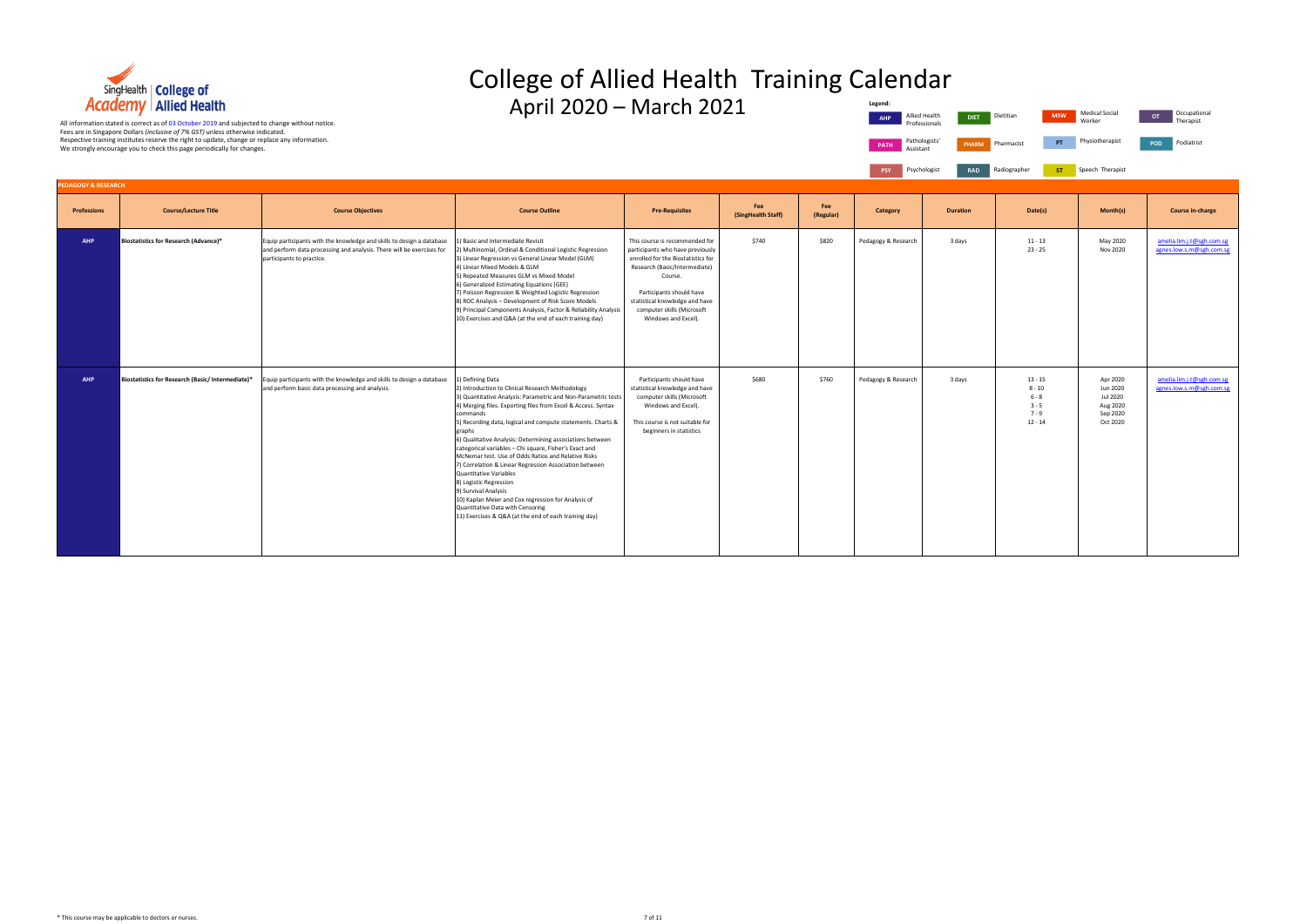

**Professions Course/Lecture Title Course Objectives Course Outline Pre-Requisites Fee (SingHealth Staff)** Fee<br>(Regular) **AHP Biostatistics for Research (Advance)\*** Equip participants with the knowledge and skills to design a database and perform data processing and analysis. There will be exercises for articipants to practice. 1) Basic and Intermediate Revisit 2) Multinomial, Ordinal & Conditional Logistic Regression 3) Linear Regression vs General Linear Model (GLM) 4) Linear Mixed Models & GLM 5) Repeated Measures GLM vs Mixed Model 6) Generalized Estimating Equations (GEE) 7) Poisson Regression & Weighted Logistic Regression 8) ROC Analysis – Development of Risk Score Models 9) Principal Components Analysis, Factor & Reliability Analysis 10) Exercises and Q&A (at the end of each training day) This course is recommended for participants who have previously enrolled for the Biostatistics for Research (Basic/Intermediate) Course. Participants should have statistical knowledge and have computer skills (Microsoft Windows and Excel).  $$740$   $$820$  Pedagogy & Research 3 days **AHP Biostatistics for Research (Basic/ Intermediate)\*** Equip participants with the knowledge and skills to design a database and perform basic data processing and analysis. 1) Defining Data 2) Introduction to Clinical Research Methodology 3) Quantitative Analysis: Parametric and Non-Parametric test 4) Merging files. Exporting files from Excel & Access. Syntax commands 5) Recording data, logical and compute statements. Charts & graphs 6) Qualitative Analysis: Determining associations between categorical variables – Chi square, Fisher's Exact and McNemar test. Use of Odds Ratios and Relative Risks 7) Correlation & Linear Regression Association between Quantitative Variables 8) Logistic Regression 9) Survival Analysis 10) Kaplan Meier and Cox regression for Analysis of Quantitative Data with Censoring 11) Exercises & Q&A (at the end of each training day) Participants should have statistical knowledge and have computer skills (Microsoft Windows and Excel). This course is not suitable for beginners in statistics \$680 \$760 Pedagogy & Research 3 days **AGOGY & RESEARC** 

#### College of Allied Health Training Calendar  $\Delta$ pril 2020 – March 2021 Allied Health Diet **Legend:**



|                  | Legend:<br><b>AHP</b>    | Allied Health<br><b>DIET</b><br>Professionals | Dietitian<br><b>MSW</b>                                             | <b>Medical Social</b><br>Worker                                      | Occupational<br>OT<br>Therapist                       |
|------------------|--------------------------|-----------------------------------------------|---------------------------------------------------------------------|----------------------------------------------------------------------|-------------------------------------------------------|
|                  | <b>PATH</b><br>Assistant | Pathologists'<br><b>PHARM</b>                 | PT<br>Pharmacist                                                    | Physiotherapist                                                      | Podiatrist<br>POD                                     |
|                  | <b>PSY</b>               | Psychologist<br><b>RAD</b>                    | Radiographer<br><b>ST</b>                                           | Speech Therapist                                                     |                                                       |
| Fee<br>(Regular) | <b>Category</b>          | <b>Duration</b>                               | Date(s)                                                             | Month(s)                                                             | <b>Course in-charge</b>                               |
| \$820            | Pedagogy & Research      | 3 days                                        | $11 - 13$<br>$23 - 25$                                              | May 2020<br>Nov 2020                                                 | amelia.lim.j.t@sgh.com.sg<br>agnes.low.s.m@sgh.com.sg |
| \$760            | Pedagogy & Research      | 3 days                                        | $13 - 15$<br>$8 - 10$<br>$6 - 8$<br>$3 - 5$<br>$7 - 9$<br>$12 - 14$ | Apr 2020<br>Jun 2020<br>Jul 2020<br>Aug 2020<br>Sep 2020<br>Oct 2020 | amelia.lim.j.t@sgh.com.sg<br>agnes.low.s.m@sgh.com.sg |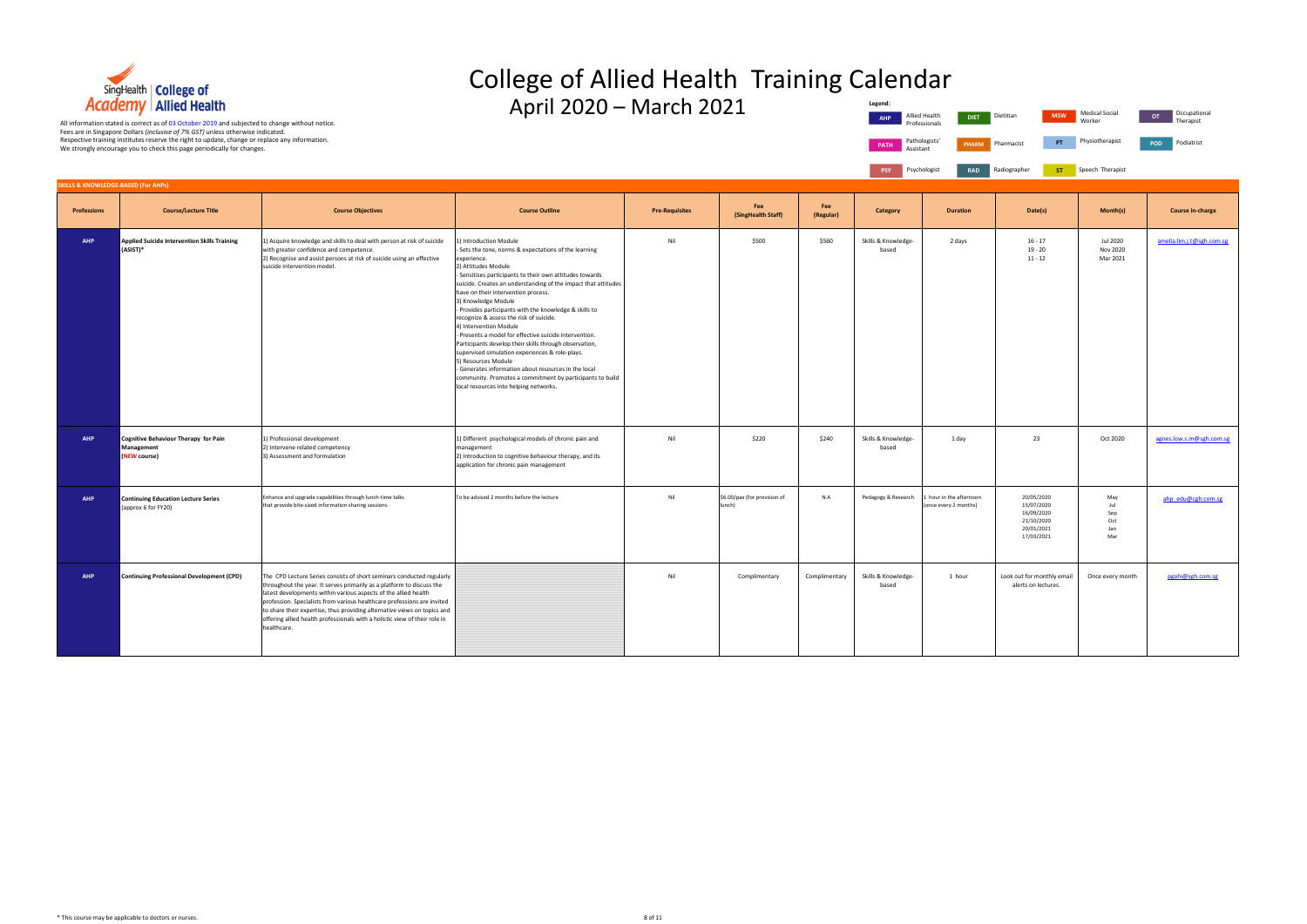

#### College of Allied Health Training Calendar  $\Delta$ pril 2020 – March 2021 **Legend:**



|                  | Legenu.<br><b>AHP</b>        | Allied Health<br><b>DIET</b><br>Professionals    | <b>MSW</b><br>Dietitian                                                          | Medical Social<br>Worker                | Occupational<br>OT<br>Therapist |
|------------------|------------------------------|--------------------------------------------------|----------------------------------------------------------------------------------|-----------------------------------------|---------------------------------|
|                  | <b>PATH</b><br>Assistant     | Pathologists'<br>PHARM                           | PT<br>Pharmacist                                                                 | Physiotherapist                         | Podiatrist<br>POD               |
|                  | <b>PSY</b>                   | Psychologist<br><b>RAD</b>                       | Radiographer<br>ST                                                               | Speech Therapist                        |                                 |
|                  |                              |                                                  |                                                                                  |                                         |                                 |
| Fee<br>(Regular) | <b>Category</b>              | <b>Duration</b>                                  | Date(s)                                                                          | Month(s)                                | <b>Course in-charge</b>         |
| \$560            | Skills & Knowledge-<br>based | 2 days                                           | $16 - 17$<br>$19 - 20$<br>$11 - 12$                                              | <b>Jul 2020</b><br>Nov 2020<br>Mar 2021 | amelia.lim.j.t@sgh.com.sg       |
| \$240            | Skills & Knowledge-<br>based | 1 day                                            | 23                                                                               | Oct 2020                                | agnes.low.s.m@sgh.com.sg        |
| N.A              | Pedagogy & Research          | 1 hour in the afternoon<br>(once every 2 months) | 20/05/2020<br>15/07/2020<br>16/09/2020<br>21/10/2020<br>20/01/2021<br>17/03/2021 | May<br>Jul<br>Sep<br>Oct<br>Jan<br>Mar  | ahp_edu@cgh.com.sg              |
| mplimentary      | Skills & Knowledge-<br>based | 1 hour                                           | Look out for monthly email<br>alerts on lectures.                                | Once every month                        |                                 |

**Professions Course/Lecture Title Course Objectives Course Outline Pre-Requisites Fee (SingHealth Staff)** Fee<br>(Regular) **AHP Applied Suicide Intervention Skills Training (ASIST)\*** 1) Acquire knowledge and skills to deal with person at risk of suicide with greater confidence and competence. 2) Recognise and assist persons at risk of suicide using an effective suicide intervention model. 1) Introduction Module - Sets the tone, norms & expectations of the learning experience. 2) Attitudes Module - Sensitises participants to their own attitudes towards suicide. Creates an understanding of the impact that attitude have on their intervention process. 3) Knowledge Module - Provides participants with the knowledge & skills to recognize & assess the risk of suicide. 4) Intervention Module - Presents a model for effective suicide intervention. Participants develop their skills through observation, supervised simulation experiences & role-plays. 5) Resources Module - Generates information about resources in the local community. Promotes a commitment by participants to build local resources into helping networks. Nil \$500 \$500 \$560 Skills & Knowledge based 2 days **AHP Cognitive Behaviour Therapy for Pain Management (EW course**) 1) Professional development 2) Intervene related competency 3) Assessment and formulation 1) Different psychological models of chronic pain and management 2) Introduction to cognitive behaviour therapy, and its application for chronic pain management Nil **Nil S220** S220 Skills & Knowledge based **AHP Continuing Education Lecture Series**  (approx 6 for FY20) Enhance and upgrade capabilities through lunch-time talks that provide bite-sized information sharing sessions To be advised 2 months before the lecture Nil the advised 2 months before the lecture Nil \$6.00/pax (for provision of lunch) N.A Pedagogy & Research 1 hour in the afternoon nce every 2 months) **AHP Continuing Professional Development (CPD)** The CPD Lecture Series consists of short seminars conducted regularly throughout the year. It serves primarily as a platform to discuss the latest developments within various aspects of the allied health profession. Specialists from various healthcare professions are invited to share their expertise, thus providing alternative views on topics and offering allied health professionals with a holistic view of their role in ealthcare. Nil Complimentary Complimentary Skills & Knowledgebased  $1$  hour **SKILLS & KNOWLEDGE-BASED (For AHPs)**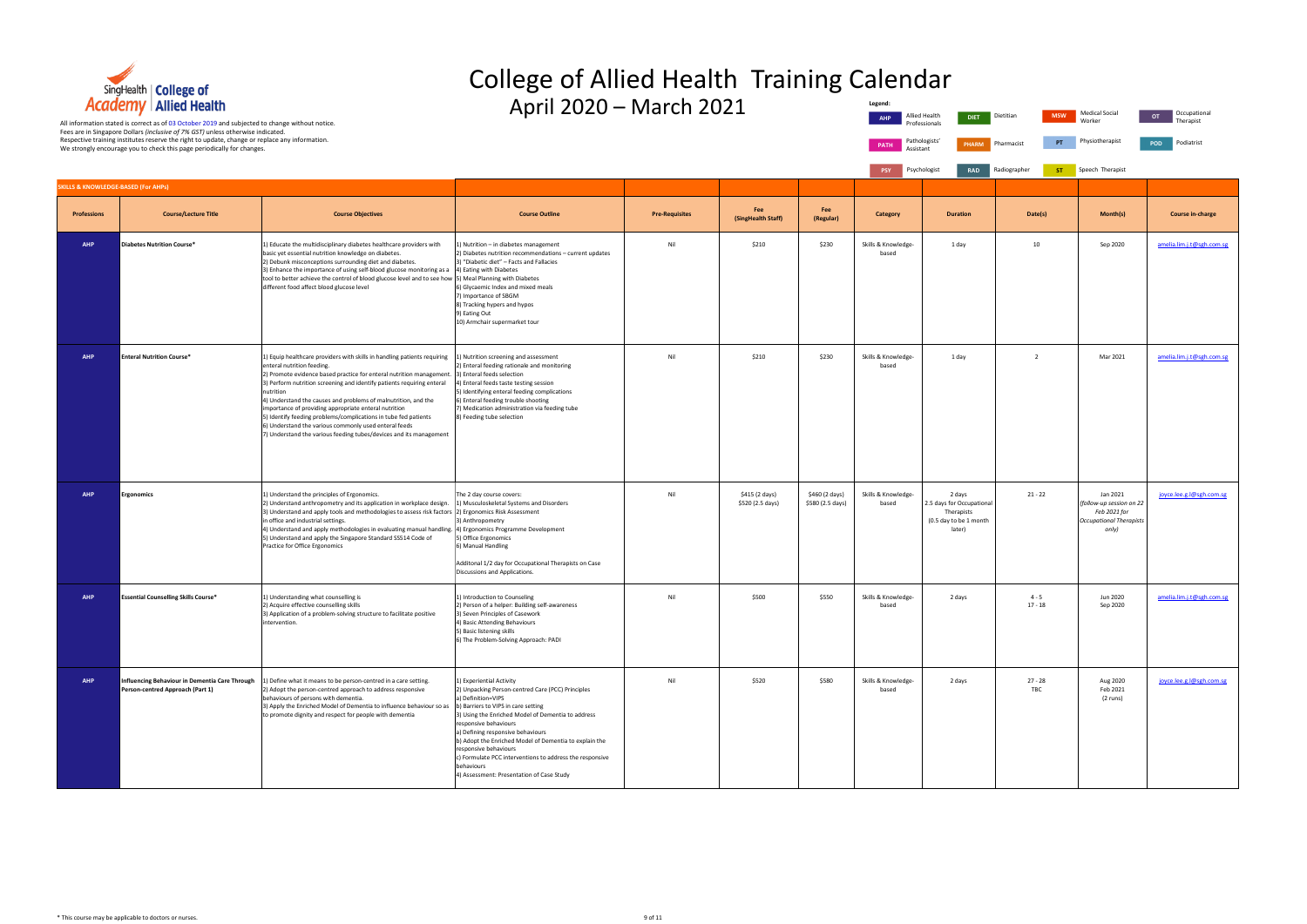

### College of Allied Health Training Calendar  $\Delta$ pril 2020 – March 2021

| TRANSITY EMILATION<br>APHI ZUZU – MIJILII ZUZI<br><b>Medical Social</b><br>Occupational<br><b>MSW</b><br>OT<br>Allied Health<br>Dietitian<br>DIET.<br>Worker<br>Therapist<br>All information stated is correct as of 03 October 2019 and subjected to change without notice.<br>Professionals |                                                                                                                                                                                                                                                             |                                                                                                                                                                                                                                                                                                                                                                                                                                                                                                                                                                                                    |                                                                                                                                                                                                                                                                                                                                                                                                                                                                          |                       |                                    |                                    |                              |                                                                                       |                         |                                                                                                 |                           |
|-----------------------------------------------------------------------------------------------------------------------------------------------------------------------------------------------------------------------------------------------------------------------------------------------|-------------------------------------------------------------------------------------------------------------------------------------------------------------------------------------------------------------------------------------------------------------|----------------------------------------------------------------------------------------------------------------------------------------------------------------------------------------------------------------------------------------------------------------------------------------------------------------------------------------------------------------------------------------------------------------------------------------------------------------------------------------------------------------------------------------------------------------------------------------------------|--------------------------------------------------------------------------------------------------------------------------------------------------------------------------------------------------------------------------------------------------------------------------------------------------------------------------------------------------------------------------------------------------------------------------------------------------------------------------|-----------------------|------------------------------------|------------------------------------|------------------------------|---------------------------------------------------------------------------------------|-------------------------|-------------------------------------------------------------------------------------------------|---------------------------|
|                                                                                                                                                                                                                                                                                               | Fees are in Singapore Dollars (inclusive of 7% GST) unless otherwise indicated.<br>Respective training institutes reserve the right to update, change or replace any information.<br>We strongly encourage you to check this page periodically for changes. |                                                                                                                                                                                                                                                                                                                                                                                                                                                                                                                                                                                                    |                                                                                                                                                                                                                                                                                                                                                                                                                                                                          |                       |                                    |                                    | <b>PATH</b><br>Assistant     | Pathologists'<br><b>PHARM</b>                                                         | PT<br>Pharmacist        | Physiotherapist                                                                                 | POD<br>Podiatrist         |
|                                                                                                                                                                                                                                                                                               |                                                                                                                                                                                                                                                             | PSY                                                                                                                                                                                                                                                                                                                                                                                                                                                                                                                                                                                                | Psychologist<br><b>RAD</b>                                                                                                                                                                                                                                                                                                                                                                                                                                               | Radiographer<br>ST    | Speech Therapist                   |                                    |                              |                                                                                       |                         |                                                                                                 |                           |
|                                                                                                                                                                                                                                                                                               | <b>SKILLS &amp; KNOWLEDGE-BASED (For AHPs)</b>                                                                                                                                                                                                              |                                                                                                                                                                                                                                                                                                                                                                                                                                                                                                                                                                                                    |                                                                                                                                                                                                                                                                                                                                                                                                                                                                          |                       |                                    |                                    |                              |                                                                                       |                         |                                                                                                 |                           |
| <b>Professions</b>                                                                                                                                                                                                                                                                            | <b>Course/Lecture Title</b>                                                                                                                                                                                                                                 | <b>Course Objectives</b>                                                                                                                                                                                                                                                                                                                                                                                                                                                                                                                                                                           | <b>Course Outline</b>                                                                                                                                                                                                                                                                                                                                                                                                                                                    | <b>Pre-Requisites</b> | Fee<br>(SingHealth Staff)          | Fee<br>(Regular)                   | Category                     | <b>Duration</b>                                                                       | Date(s)                 | Month(s)                                                                                        | Course in-charge          |
| <b>AHP</b>                                                                                                                                                                                                                                                                                    | Diabetes Nutrition Course*                                                                                                                                                                                                                                  | 1) Educate the multidisciplinary diabetes healthcare providers with<br>basic yet essential nutrition knowledge on diabetes.<br>2) Debunk misconceptions surrounding diet and diabetes.<br>3) Enhance the importance of using self-blood glucose monitoring as a<br>tool to better achieve the control of blood glucose level and to see how<br>different food affect blood glucose level                                                                                                                                                                                                           | Nutrition - in diabetes management<br>2) Diabetes nutrition recommendations - current updates<br>3) "Diabetic diet" - Facts and Fallacies<br>4) Eating with Diabetes<br>5) Meal Planning with Diabetes<br>6) Glycaemic Index and mixed meals<br>7) Importance of SBGM<br>8) Tracking hypers and hypos<br>9) Eating Out<br>10) Armchair supermarket tour                                                                                                                  | Nil                   | \$210                              | \$230                              | Skills & Knowledge-<br>based | 1 day                                                                                 | 10                      | Sep 2020                                                                                        | amelia.lim.j.t@sgh.com.sg |
| <b>AHP</b>                                                                                                                                                                                                                                                                                    | <b>Enteral Nutrition Course*</b>                                                                                                                                                                                                                            | 1) Equip healthcare providers with skills in handling patients requiring<br>enteral nutrition feeding.<br>2) Promote evidence based practice for enteral nutrition management.<br>3) Perform nutrition screening and identify patients requiring enteral<br>nutrition<br>4) Understand the causes and problems of malnutrition, and the<br>importance of providing appropriate enteral nutrition<br>5) Identify feeding problems/complications in tube fed patients<br>6) Understand the various commonly used enteral feeds<br>7) Understand the various feeding tubes/devices and its management | 1) Nutrition screening and assessment<br>2) Enteral feeding rationale and monitoring<br>3) Enteral feeds selection<br>4) Enteral feeds taste testing session<br>5) Identifying enteral feeding complications<br>6) Enteral feeding trouble shooting<br>7) Medication administration via feeding tube<br>8) Feeding tube selection                                                                                                                                        | Nil                   | \$210                              | \$230                              | Skills & Knowledge-<br>based | 1 day                                                                                 | $\overline{2}$          | Mar 2021                                                                                        | amelia.lim.j.t@sgh.com.sg |
| <b>AHP</b>                                                                                                                                                                                                                                                                                    | <b>Ergonomics</b>                                                                                                                                                                                                                                           | 1) Understand the principles of Ergonomics.<br>2) Understand anthropometry and its application in workplace design.<br>3) Understand and apply tools and methodologies to assess risk factors (2) Ergonomics Risk Assessment<br>in office and industrial settings.<br>4) Understand and apply methodologies in evaluating manual handling. (4) Ergonomics Programme Development<br>5) Understand and apply the Singapore Standard SS514 Code of<br>Practice for Office Ergonomics                                                                                                                  | The 2 day course covers:<br>1) Musculoskeletal Systems and Disorders<br>3) Anthropometry<br>5) Office Ergonomics<br>6) Manual Handling<br>Additonal 1/2 day for Occupational Therapists on Case<br>Discussions and Applications.                                                                                                                                                                                                                                         | Nil                   | \$415 (2 days)<br>\$520 (2.5 days) | \$460 (2 days)<br>\$580 (2.5 days) | Skills & Knowledge-<br>based | 2 days<br>2.5 days for Occupational<br>Therapists<br>(0.5 day to be 1 month<br>later) | $21 - 22$               | Jan 2021<br>(follow-up session on 22<br>Feb 2021 for<br><b>Occupational Therapists</b><br>only) | joyce.lee.g.l@sgh.com.sg  |
| <b>AHP</b>                                                                                                                                                                                                                                                                                    | <b>Essential Counselling Skills Course*</b>                                                                                                                                                                                                                 | 1) Understanding what counselling is<br>2) Acquire effective counselling skills<br>3) Application of a problem-solving structure to facilitate positive<br>intervention.                                                                                                                                                                                                                                                                                                                                                                                                                           | 1) Introduction to Counseling<br>2) Person of a helper: Building self-awareness<br>3) Seven Principles of Casework<br>4) Basic Attending Behaviours<br>5) Basic listening skills<br>6) The Problem-Solving Approach: PADI                                                                                                                                                                                                                                                | Nil                   | \$500                              | \$550                              | Skills & Knowledge-<br>based | 2 days                                                                                | $4 - 5$<br>$17 - 18$    | Jun 2020<br>Sep 2020                                                                            | amelia.lim.j.t@sgh.com.sg |
| <b>AHP</b>                                                                                                                                                                                                                                                                                    | Influencing Behaviour in Dementia Care Through<br>Person-centred Approach (Part 1)                                                                                                                                                                          | () Define what it means to be person-centred in a care setting.<br>2) Adopt the person-centred approach to address responsive<br>behaviours of persons with dementia.<br>3) Apply the Enriched Model of Dementia to influence behaviour so as<br>to promote dignity and respect for people with dementia                                                                                                                                                                                                                                                                                           | I) Experiential Activity<br>2) Unpacking Person-centred Care (PCC) Principles<br>a) Definition=VIPS<br>b) Barriers to VIPS in care setting<br>3) Using the Enriched Model of Dementia to address<br>responsive behaviours<br>a) Defining responsive behaviours<br>b) Adopt the Enriched Model of Dementia to explain the<br>responsive behaviours<br>c) Formulate PCC interventions to address the responsive<br>behaviours<br>4) Assessment: Presentation of Case Study | Nil                   | \$520                              | \$580                              | Skills & Knowledge-<br>based | 2 days                                                                                | $27 - 28$<br><b>TBC</b> | Aug 2020<br>Feb 2021<br>(2 runs)                                                                | joyce.lee.g.l@sgh.com.sg  |

|                | Legend:                      |                                                                                       |                           |                                                                                                 |                                 |
|----------------|------------------------------|---------------------------------------------------------------------------------------|---------------------------|-------------------------------------------------------------------------------------------------|---------------------------------|
|                | <b>AHP</b>                   | Allied Health<br><b>DIET</b><br>Professionals                                         | Dietitian<br><b>MSW</b>   | <b>Medical Social</b><br>Worker                                                                 | Occupational<br>OT<br>Therapist |
|                | PATH<br>Assistant            | Pathologists'<br><b>PHARM</b>                                                         | PT<br>Pharmacist          | Physiotherapist                                                                                 | Podiatrist<br>POD               |
|                | <b>PSY</b>                   | Psychologist<br><b>RAD</b>                                                            | Radiographer<br><b>ST</b> | Speech Therapist                                                                                |                                 |
|                |                              |                                                                                       |                           |                                                                                                 |                                 |
| lar)           | Category                     | <b>Duration</b>                                                                       | Date(s)                   | Month(s)                                                                                        | <b>Course in-charge</b>         |
| D              | Skills & Knowledge-<br>based | 1 day                                                                                 | 10                        | Sep 2020                                                                                        | amelia.lim.j.t@sgh.com.sg       |
| D              | Skills & Knowledge-<br>based | 1 day                                                                                 | $\overline{2}$            | Mar 2021                                                                                        | amelia.lim.j.t@sgh.com.sg       |
| days)<br>days) | Skills & Knowledge-<br>based | 2 days<br>2.5 days for Occupational<br>Therapists<br>(0.5 day to be 1 month<br>later) | $21 - 22$                 | Jan 2021<br>(follow-up session on 22<br>Feb 2021 for<br><b>Occupational Therapists</b><br>only) | joyce.lee.g.l@sgh.com.sg        |
| D              | Skills & Knowledge-<br>based | 2 days                                                                                | $4 - 5$<br>$17 - 18$      | Jun 2020<br>Sep 2020                                                                            | amelia.lim.j.t@sgh.com.sg       |
| D              | Skills & Knowledge-<br>based | 2 days                                                                                | $27 - 28$<br>TBC          | Aug 2020<br>Feb 2021<br>(2 runs)                                                                | joyce.lee.g.l@sgh.com.sg        |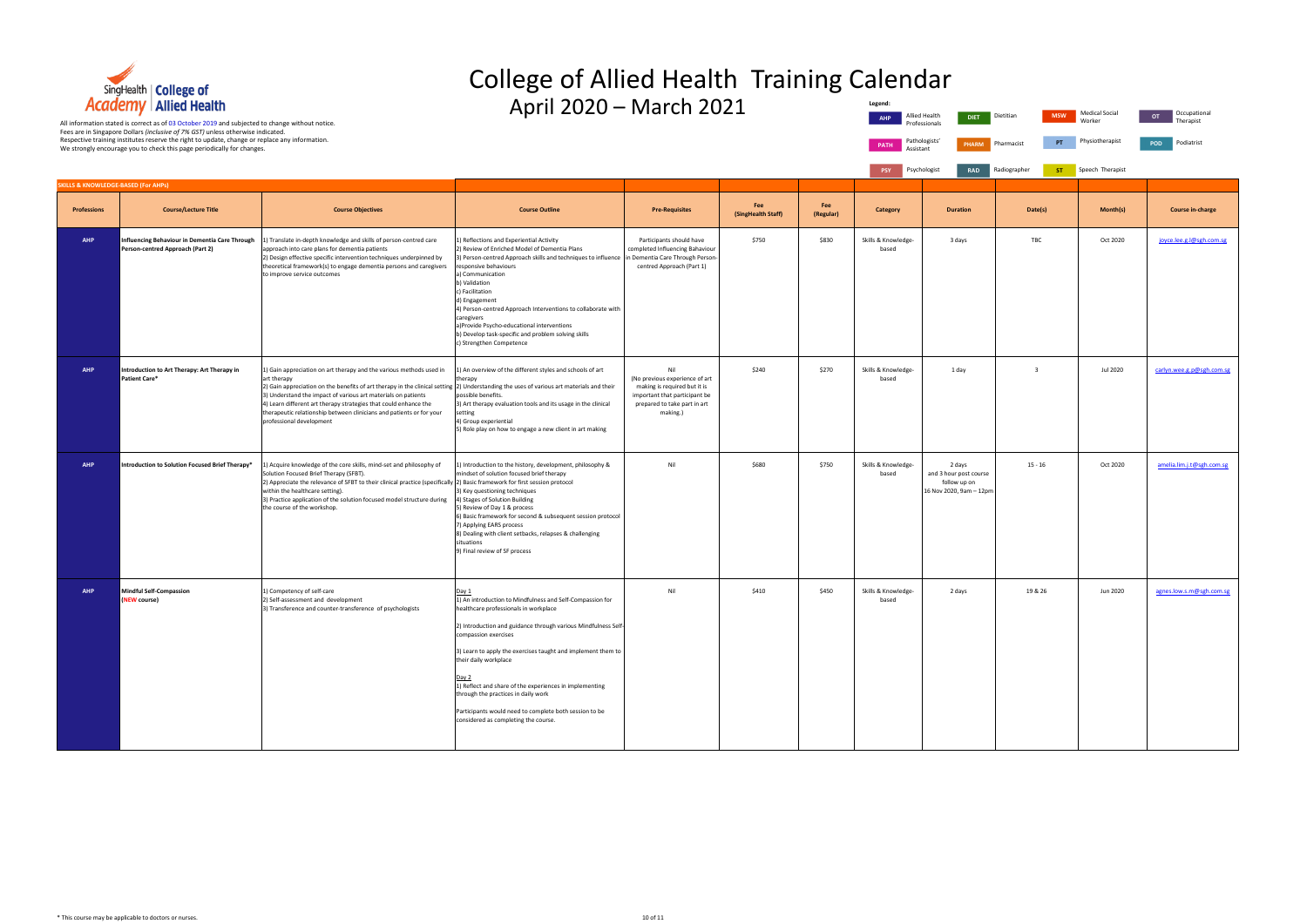

## College of Allied Health Training Calendar

| <b>Academy</b> Allied Health<br>All information stated is correct as of 03 October 2019 and subjected to change without notice.<br>Fees are in Singapore Dollars (inclusive of 7% GST) unless otherwise indicated. |                                                                                                                                                                          |                                                                                                                                                                                                                                                                                                                                                                                                                                                                         | April 2020 – March 2021                                                                                                                                                                                                                                                                                                                                                                                                                                                                                                   |                                                                                                                                                    |                           | Legend:<br><b>AHP</b> | Allied Health<br><b>DIET</b><br>Professionals | Dietitian<br><b>MSW</b>                                                     | <b>Medical Social</b><br>Worker | Occupational<br>OT<br>Therapist |                           |
|--------------------------------------------------------------------------------------------------------------------------------------------------------------------------------------------------------------------|--------------------------------------------------------------------------------------------------------------------------------------------------------------------------|-------------------------------------------------------------------------------------------------------------------------------------------------------------------------------------------------------------------------------------------------------------------------------------------------------------------------------------------------------------------------------------------------------------------------------------------------------------------------|---------------------------------------------------------------------------------------------------------------------------------------------------------------------------------------------------------------------------------------------------------------------------------------------------------------------------------------------------------------------------------------------------------------------------------------------------------------------------------------------------------------------------|----------------------------------------------------------------------------------------------------------------------------------------------------|---------------------------|-----------------------|-----------------------------------------------|-----------------------------------------------------------------------------|---------------------------------|---------------------------------|---------------------------|
|                                                                                                                                                                                                                    | Respective training institutes reserve the right to update, change or replace any information.<br>We strongly encourage you to check this page periodically for changes. |                                                                                                                                                                                                                                                                                                                                                                                                                                                                         |                                                                                                                                                                                                                                                                                                                                                                                                                                                                                                                           |                                                                                                                                                    |                           |                       | <b>PATH</b><br>Assistant                      | Pathologists'<br><b>PHARM</b>                                               | PT<br>Pharmacist                | Physiotherapist                 | Podiatrist<br><b>POD</b>  |
| <b>SKILLS &amp; KNOWLEDGE-BASED (For AHPs)</b>                                                                                                                                                                     |                                                                                                                                                                          |                                                                                                                                                                                                                                                                                                                                                                                                                                                                         |                                                                                                                                                                                                                                                                                                                                                                                                                                                                                                                           |                                                                                                                                                    |                           |                       | PSY                                           | Psychologist<br>RAD                                                         | Radiographer<br>ST.             | Speech Therapist                |                           |
| <b>Professions</b>                                                                                                                                                                                                 | <b>Course/Lecture Title</b>                                                                                                                                              | <b>Course Objectives</b>                                                                                                                                                                                                                                                                                                                                                                                                                                                | <b>Course Outline</b>                                                                                                                                                                                                                                                                                                                                                                                                                                                                                                     | <b>Pre-Requisites</b>                                                                                                                              | Fee<br>(SingHealth Staff) | Fee<br>(Regular)      | Category                                      | <b>Duration</b>                                                             | Date(s)                         | Month(s)                        | Course in-charge          |
| <b>AHP</b>                                                                                                                                                                                                         | Influencing Behaviour in Dementia Care Through<br>Person-centred Approach (Part 2)                                                                                       | L) Translate in-depth knowledge and skills of person-centred care<br>approach into care plans for dementia patients<br>2) Design effective specific intervention techniques underpinned by<br>theoretical framework(s) to engage dementia persons and caregivers<br>to improve service outcomes                                                                                                                                                                         | L) Reflections and Experiential Activity<br>) Review of Enriched Model of Dementia Plans<br>3) Person-centred Approach skills and techniques to influence<br>responsive behaviours<br>Communication<br>b) Validation<br>c) Facilitation<br>d) Engagement<br>4) Person-centred Approach Interventions to collaborate with<br>caregivers<br>a)Provide Psycho-educational interventions<br>b) Develop task-specific and problem solving skills<br>c) Strengthen Competence                                                   | Participants should have<br>completed Influencing Bahaviour<br>1 Dementia Care Through Person<br>centred Approach (Part 1)                         | \$750                     | \$830                 | Skills & Knowledge-<br>based                  | 3 days                                                                      | TBC                             | Oct 2020                        | joyce.lee.g.l@sgh.com.sg  |
| <b>AHP</b>                                                                                                                                                                                                         | Introduction to Art Therapy: Art Therapy in<br><b>Patient Care*</b>                                                                                                      | 1) Gain appreciation on art therapy and the various methods used in<br>art therapy<br>2) Gain appreciation on the benefits of art therapy in the clinical setting 2) Understanding the uses of various art materials and their<br>3) Understand the impact of various art materials on patients<br>4) Learn different art therapy strategies that could enhance the<br>therapeutic relationship between clinicians and patients or for your<br>professional development | L) An overview of the different styles and schools of art<br>therapy<br>possible benefits.<br>3) Art therapy evaluation tools and its usage in the clinical<br>setting<br>4) Group experiential<br>5) Role play on how to engage a new client in art making                                                                                                                                                                                                                                                               | Nil<br>(No previous experience of art<br>making is required but it is<br>important that participant be<br>prepared to take part in art<br>making.) | \$240                     | \$270                 | Skills & Knowledge-<br>based                  | 1 day                                                                       | $\overline{\mathbf{3}}$         | Jul 2020                        | carlyn.wee.g.p@sgh.com.sg |
| <b>AHP</b>                                                                                                                                                                                                         | Introduction to Solution Focused Brief Therapy*                                                                                                                          | ) Acquire knowledge of the core skills, mind-set and philosophy of<br>Solution Focused Brief Therapy (SFBT).<br>2) Appreciate the relevance of SFBT to their clinical practice (specifically 2) Basic framework for first session protocol<br>within the healthcare setting).<br>3) Practice application of the solution focused model structure during<br>the course of the workshop.                                                                                  | ) Introduction to the history, development, philosophy &<br>mindset of solution focused brief therapy<br>3) Key questioning techniques<br>4) Stages of Solution Building<br>5) Review of Day 1 & process<br>6) Basic framework for second & subsequent session protocol<br>7) Applying EARS process<br>8) Dealing with client setbacks, relapses & challenging<br>situations<br>9) Final review of SF process                                                                                                             | Nil                                                                                                                                                | \$680                     | \$750                 | Skills & Knowledge-<br>based                  | 2 days<br>and 3 hour post course<br>follow up on<br>16 Nov 2020, 9am - 12pm | $15 - 16$                       | Oct 2020                        | amelia.lim.j.t@sgh.com.sg |
|                                                                                                                                                                                                                    | <b>Mindful Self-Compassion</b><br>(NEW course)                                                                                                                           | 1) Competency of self-care<br>2) Self-assessment and development<br>3) Transference and counter-transference of psychologists                                                                                                                                                                                                                                                                                                                                           | <u>Day 1</u><br>1) An introduction to Mindfulness and Self-Compassion for<br>healthcare professionals in workplace<br>2) Introduction and guidance through various Mindfulness Self-<br>compassion exercises<br>3) Learn to apply the exercises taught and implement them to<br>their daily workplace<br><u>Day 2</u><br>1) Reflect and share of the experiences in implementing<br>through the practices in daily work<br>Participants would need to complete both session to be<br>considered as completing the course. |                                                                                                                                                    | \$410                     | \$450                 | Skills & Knowledge-<br>based                  | 2 days                                                                      | 19 & 26                         | Jun 2020                        | agnes.low.s.m@sgh.com.sg  |

| Legend:<br><b>AHP</b>        | Allied Health<br>Professionals | <b>DIET</b>                                                                 | Dietitian<br><b>MSW</b>   |    | Medical Social<br>Worker | Occupational<br>OT<br>Therapist |
|------------------------------|--------------------------------|-----------------------------------------------------------------------------|---------------------------|----|--------------------------|---------------------------------|
| PATH                         | Pathologists'<br>Assistant     | <b>PHARM</b>                                                                | Pharmacist                | PT | Physiotherapist          | Podiatrist<br>POD               |
| <b>PSY</b>                   | Psychologist                   | <b>RAD</b>                                                                  | Radiographer<br><b>ST</b> |    | Speech Therapist         |                                 |
|                              |                                |                                                                             |                           |    |                          |                                 |
| Category                     |                                | <b>Duration</b>                                                             | Date(s)                   |    | Month(s)                 | <b>Course in-charge</b>         |
| Skills & Knowledge-<br>based |                                | 3 days                                                                      | TBC                       |    | Oct 2020                 | joyce.lee.g.l@sgh.com.sg        |
| Skills & Knowledge-<br>based |                                | 1 day                                                                       | $\mathsf 3$               |    | <b>Jul 2020</b>          | carlyn.wee.g.p@sgh.com.sg       |
| Skills & Knowledge-<br>based |                                | 2 days<br>and 3 hour post course<br>follow up on<br>16 Nov 2020, 9am - 12pm | $15 - 16$                 |    | Oct 2020                 | amelia.lim.j.t@sgh.com.sg       |
| Skills & Knowledge-<br>based |                                | 2 days                                                                      | 19 & 26                   |    | Jun 2020                 | agnes.low.s.m@sgh.com.sg        |